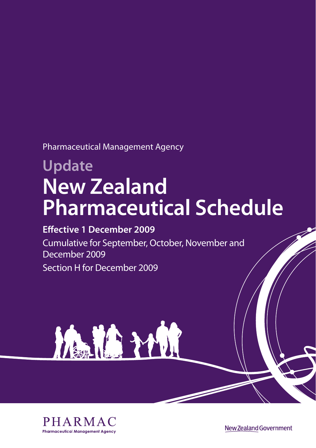Pharmaceutical Management Agency

# **Update New Zealand Pharmaceutical Schedule**

## **Effective 1 December 2009**

Cumulative for September, October, November and December 2009 Section H for December 2009





New Zealand Government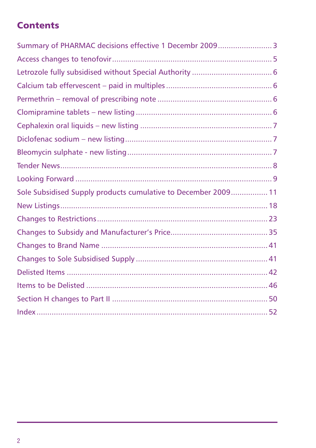## **Contents**

| Summary of PHARMAC decisions effective 1 Decembr 2009 3        |  |
|----------------------------------------------------------------|--|
|                                                                |  |
|                                                                |  |
|                                                                |  |
|                                                                |  |
|                                                                |  |
|                                                                |  |
|                                                                |  |
|                                                                |  |
|                                                                |  |
|                                                                |  |
| Sole Subsidised Supply products cumulative to December 2009 11 |  |
|                                                                |  |
|                                                                |  |
|                                                                |  |
|                                                                |  |
|                                                                |  |
|                                                                |  |
|                                                                |  |
|                                                                |  |
|                                                                |  |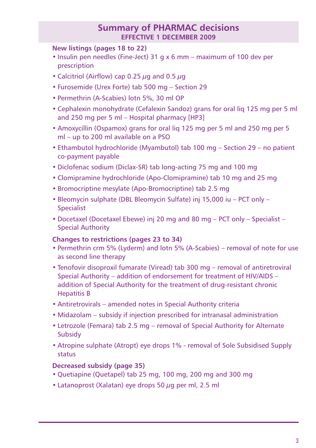## **Summary of PHARMAC decisions effective 1 December 2009**

### **New listings (pages 18 to 22)**

- Insulin pen needles (Fine-Ject) 31 g x 6 mm maximum of 100 dev per prescription
- Calcitriol (Airflow) cap 0.25  $\mu$ g and 0.5  $\mu$ g
- Furosemide (Urex Forte) tab 500 mg Section 29
- Permethrin (A-Scabies) lotn 5%, 30 ml OP
- Cephalexin monohydrate (Cefalexin Sandoz) grans for oral liq 125 mg per 5 ml and 250 mg per 5 ml – Hospital pharmacy [HP3]
- Amoxycillin (Ospamox) grans for oral liq 125 mg per 5 ml and 250 mg per 5 ml – up to 200 ml available on a PSO
- Ethambutol hydrochloride (Myambutol) tab 100 mg Section 29 no patient co-payment payable
- Diclofenac sodium (Diclax-SR) tab long-acting 75 mg and 100 mg
- Clomipramine hydrochloride (Apo-Clomipramine) tab 10 mg and 25 mg
- Bromocriptine mesylate (Apo-Bromocriptine) tab 2.5 mg
- Bleomycin sulphate (DBL Bleomycin Sulfate) inj 15,000 iu PCT only Specialist
- Docetaxel (Docetaxel Ebewe) inj 20 mg and 80 mg PCT only Specialist Special Authority

### **Changes to restrictions (pages 23 to 34)**

- Permethrin crm 5% (Lyderm) and lotn 5% (A-Scabies) removal of note for use as second line therapy
- Tenofovir disoproxil fumarate (Viread) tab 300 mg removal of antiretroviral Special Authority – addition of endorsement for treatment of HIV/AIDS – addition of Special Authority for the treatment of drug-resistant chronic Hepatitis B
- Antiretrovirals amended notes in Special Authority criteria
- Midazolam subsidy if injection prescribed for intranasal administration
- Letrozole (Femara) tab 2.5 mg removal of Special Authority for Alternate Subsidy
- Atropine sulphate (Atropt) eye drops 1% removal of Sole Subsidised Supply status

### **Decreased subsidy (page 35)**

- Quetiapine (Quetapel) tab 25 mg, 100 mg, 200 mg and 300 mg
- Latanoprost (Xalatan) eye drops 50 µg per ml, 2.5 ml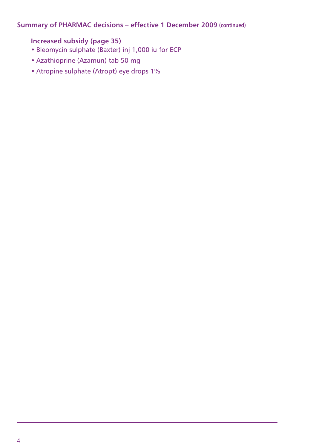### **Summary of PHARMAC decisions – effective 1 December 2009 (continued)**

### **Increased subsidy (page 35)**

- Bleomycin sulphate (Baxter) inj 1,000 iu for ECP
- Azathioprine (Azamun) tab 50 mg
- Atropine sulphate (Atropt) eye drops 1%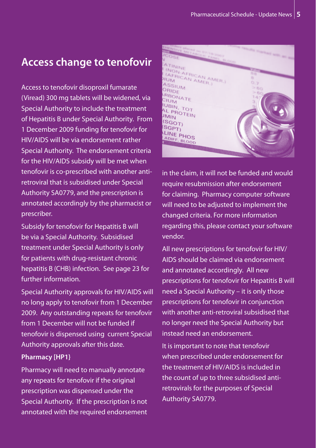## **Access change to tenofovir**

Access to tenofovir disoproxil fumarate (Viread) 300 mg tablets will be widened, via Special Authority to include the treatment of Hepatitis B under Special Authority. From 1 December 2009 funding for tenofovir for HIV/AIDS will be via endorsement rather Special Authority. The endorsement criteria for the HIV/AIDS subsidy will be met when tenofovir is co-prescribed with another antiretroviral that is subsidised under Special Authority SA0779, and the prescription is annotated accordingly by the pharmacist or prescriber.

Subsidy for tenofovir for Hepatitis B will be via a Special Authority. Subsidised treatment under Special Authority is only for patients with drug-resistant chronic hepatitis B (CHB) infection. See page 23 for further information.

Special Authority approvals for HIV/AIDS will no long apply to tenofovir from 1 December 2009. Any outstanding repeats for tenofovir from 1 December will not be funded if tenofovir is dispensed using current Special Authority approvals after this date.

### **Pharmacy [HP1}**

Pharmacy will need to manually annotate any repeats for tenofovir if the original prescription was dispensed under the Special Authority. If the prescription is not  $\overline{\mathsf{annotated}}$  with the required endorsement



in the claim, it will not be funded and would require resubmission after endorsement for claiming. Pharmacy computer software will need to be adjusted to implement the changed criteria. For more information regarding this, please contact your software vendor.

All new prescriptions for tenofovir for HIV/ AIDS should be claimed via endorsement and annotated accordingly. All new prescriptions for tenofovir for Hepatitis B will need a Special Authority – it is only those prescriptions for tenofovir in conjunction with another anti-retroviral subsidised that no longer need the Special Authority but instead need an endorsement.

It is important to note that tenofovir when prescribed under endorsement for the treatment of HIV/AIDS is included in the count of up to three subsidised antiretrovirals for the purposes of Special Authority SA0779.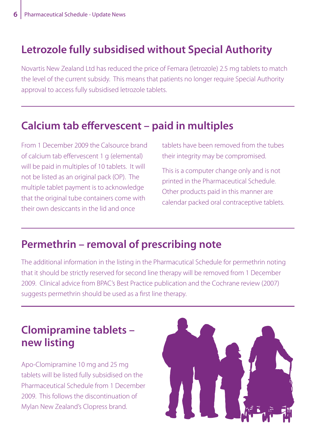## **Letrozole fully subsidised without Special Authority**

Novartis New Zealand Ltd has reduced the price of Femara (letrozole) 2.5 mg tablets to match the level of the current subsidy. This means that patients no longer require Special Authority approval to access fully subsidised letrozole tablets.

## **Calcium tab effervescent – paid in multiples**

From 1 December 2009 the Calsource brand of calcium tab effervescent 1 g (elemental) will be paid in multiples of 10 tablets. It will not be listed as an original pack (OP). The multiple tablet payment is to acknowledge that the original tube containers come with their own desiccants in the lid and once

tablets have been removed from the tubes their integrity may be compromised.

This is a computer change only and is not printed in the Pharmaceutical Schedule. Other products paid in this manner are calendar packed oral contraceptive tablets.

## **Permethrin – removal of prescribing note**

The additional information in the listing in the Pharmacutical Schedule for permethrin noting that it should be strictly reserved for second line therapy will be removed from 1 December 2009. Clinical advice from BPAC's Best Practice publication and the Cochrane review (2007) suggests permethrin should be used as a first line therapy.

## **Clomipramine tablets – new listing**

Apo-Clomipramine 10 mg and 25 mg tablets will be listed fully subsidised on the Pharmaceutical Schedule from 1 December 2009. This follows the discontinuation of Mylan New Zealand's Clopress brand.

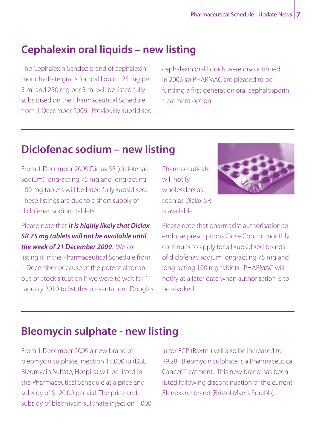## **Cephalexin oral liquids – new listing**

The Cephalexin Sandoz brand of cephalexin monohydrate grans for oral liquid 125 mg per 5 ml and 250 mg per 5 ml will be listed fully subsidised on the Pharmaceutical Schedule from 1 December 2009. Previously subsidised

cephalexin oral liquids were discontinued in 2006 so PHARMAC are pleased to be funding a first generation oral cephalosporin treatment option.

## **Diclofenac sodium – new listing**

From 1 December 2009 Diclax SR (diclofenac sodium) long-acting 75 mg and long-acting 100 mg tablets will be listed fully subsidised. These listings are due to a short supply of diclofenac sodium tablets.

Please note that *it is highly likely that Diclax SR 75 mg tablets will not be available until the week of 21 December 2009*. We are listing it in the Pharmaceutical Schedule from 1 December because of the potential for an out-of-stock situation if we were to wait for 1 January 2010 to list this presentation. Douglas

**Pharmaceuticals** will notify wholesalers as soon as Diclax SR is available.



Please note that pharmacist authorisation to endorse prescriptions Close Control monthly continues to apply for all subsidised brands of diclofenac sodium long-acting 75 mg and long-acting 100 mg tablets. PHARMAC will notify at a later date when authorisation is to be revoked.

## **Bleomycin sulphate - new listing**

From 1 December 2009 a new brand of bleomycin sulphate injection 15,000 iu (DBL Bleomycin Sulfate, Hospira) will be listed in the Pharmaceutical Schedule at a price and subsidy of \$120.00 per vial. The price and subsidy of bleomycin sulphate injection 1,000 iu for ECP (Baxter) will also be increased to \$9.28. Bleomycin sulphate is a Pharmaceutical Cancer Treatment. This new brand has been listed following discontinuation of the current Blenoxane brand (Bristol Myers Squibb).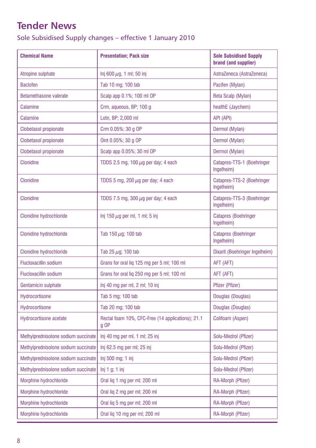## **Tender News**

Sole Subsidised Supply changes – effective 1 January 2010

| <b>Chemical Name</b>                | <b>Presentation: Pack size</b>                              | <b>Sole Subsidised Supply</b><br>brand (and supplier) |
|-------------------------------------|-------------------------------------------------------------|-------------------------------------------------------|
| Atropine sulphate                   | lnj 600 $\mu$ g, 1 ml; 50 inj                               | AstraZeneca (AstraZeneca)                             |
| <b>Baclofen</b>                     | Tab 10 mg; 100 tab                                          | Pacifen (Mylan)                                       |
| Betamethasone valerate              | Scalp app 0.1%; 100 ml OP                                   | Beta Scalp (Mylan)                                    |
| Calamine                            | Crm, aqueous, BP; 100 g                                     | healthE (Jaychem)                                     |
| Calamine                            | Lotn, BP; 2,000 ml                                          | API (API)                                             |
| Clobetasol propionate               | Crm 0.05%; 30 g OP                                          | Dermol (Mylan)                                        |
| <b>Clobetasol propionate</b>        | Oint 0.05%; 30 g OP                                         | Dermol (Mylan)                                        |
| <b>Clobetasol propionate</b>        | Scalp app 0.05%; 30 ml OP                                   | Dermol (Mylan)                                        |
| <b>Clonidine</b>                    | TDDS 2.5 mg, 100 $\mu$ g per day; 4 each                    | Catapres-TTS-1 (Boehringer<br>Ingelheim)              |
| <b>Clonidine</b>                    | TDDS 5 mg, 200 $\mu$ g per day; 4 each                      | Catapres-TTS-2 (Boehringer<br>Ingelheim)              |
| <b>Clonidine</b>                    | TDDS 7.5 mg, 300 $\mu$ g per day; 4 each                    | Catapres-TTS-3 (Boehringer<br>Ingelheim)              |
| <b>Clonidine hydrochloride</b>      | lnj 150 $\mu$ g per ml, 1 ml; 5 inj                         | <b>Catapres (Boehringer</b><br>Ingelheim)             |
| Clonidine hydrochloride             | Tab 150 $\mu$ g; 100 tab                                    | <b>Catapres (Boehringer</b><br>Ingelheim)             |
| Clonidine hydrochloride             | Tab 25 $\mu$ g; 100 tab                                     | Dixarit (Boehringer Ingelheim)                        |
| <b>Flucloxacillin sodium</b>        | Grans for oral lig 125 mg per 5 ml; 100 ml                  | AFT (AFT)                                             |
| <b>Flucloxacillin sodium</b>        | Grans for oral lig 250 mg per 5 ml; 100 ml                  | AFT (AFT)                                             |
| Gentamicin sulphate                 | Inj 40 mg per ml, 2 ml; 10 inj                              | Pfizer (Pfizer)                                       |
| Hydrocortisone                      | Tab 5 mg; 100 tab                                           | Douglas (Douglas)                                     |
| Hydrocortisone                      | Tab 20 mg; 100 tab                                          | Douglas (Douglas)                                     |
| <b>Hydrocortisone acetate</b>       | Rectal foam 10%, CFC-Free (14 applications); 21.1<br>$g$ OP | Colifoam (Aspen)                                      |
| Methylprednisolone sodium succinate | $Inj$ 40 mg per ml, 1 ml; 25 inj                            | Solu-Medrol (Pfizer)                                  |
| Methylprednisolone sodium succinate | Inj 62.5 mg per ml; 25 inj                                  | Solu-Medrol (Pfizer)                                  |
| Methylprednisolone sodium succinate | Inj 500 mg; 1 inj                                           | Solu-Medrol (Pfizer)                                  |
| Methylprednisolone sodium succinate | Inj 1 g; 1 inj                                              | Solu-Medrol (Pfizer)                                  |
| Morphine hydrochloride              | Oral lig 1 mg per ml; 200 ml                                | RA-Morph (Pfizer)                                     |
| Morphine hydrochloride              | Oral lig 2 mg per ml; 200 ml                                | RA-Morph (Pfizer)                                     |
| Morphine hydrochloride              | Oral lig 5 mg per ml; 200 ml                                | RA-Morph (Pfizer)                                     |
| Morphine hydrochloride              | Oral lig 10 mg per ml; 200 ml                               | RA-Morph (Pfizer)                                     |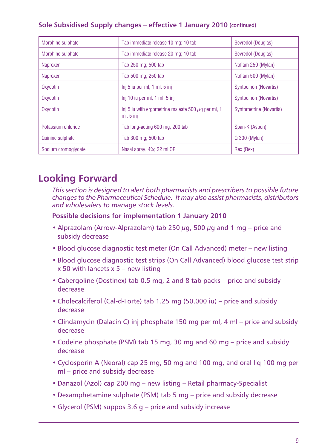### **Sole Subsidised Supply changes – effective 1 January 2010 (continued)**

| Morphine sulphate       | Tab immediate release 10 mg; 10 tab                                    | Sevredol (Douglas)           |
|-------------------------|------------------------------------------------------------------------|------------------------------|
| Morphine sulphate       | Tab immediate release 20 mg; 10 tab                                    | Sevredol (Douglas)           |
| Naproxen                | Tab 250 mg; 500 tab                                                    | Noflam 250 (Mylan)           |
| Naproxen                | Tab 500 mg; 250 tab                                                    | Noflam 500 (Mylan)           |
| Oxycotin                | $Inj 5$ iu per ml, 1 ml; 5 inj                                         | <b>Syntocinon (Novartis)</b> |
| Oxycotin                | Inj 10 iu per ml, 1 ml; 5 inj                                          | Syntocinon (Novartis)        |
| Oxycotin                | Inj 5 iu with ergometrine maleate 500 $\mu$ g per ml, 1<br>ml; $5$ inj | Syntometrine (Novartis)      |
| Potassium chloride      | Tab long-acting 600 mg; 200 tab                                        | Span-K (Aspen)               |
| <b>Quinine sulphate</b> | Tab 300 mg; 500 tab                                                    | Q 300 (Mylan)                |
| Sodium cromoglycate     | Nasal spray, 4%; 22 ml OP                                              | Rex (Rex)                    |

## **Looking Forward**

*This section is designed to alert both pharmacists and prescribers to possible future changes to the Pharmaceutical Schedule. It may also assist pharmacists, distributors and wholesalers to manage stock levels.*

### **Possible decisions for implementation 1 January 2010**

- Alprazolam (Arrow-Alprazolam) tab 250  $\mu$ g, 500  $\mu$ g and 1 mg price and subsidy decrease
- Blood glucose diagnostic test meter (On Call Advanced) meter new listing
- Blood glucose diagnostic test strips (On Call Advanced) blood glucose test strip  $x$  50 with lancets  $x$  5 – new listing
- Cabergoline (Dostinex) tab 0.5 mg, 2 and 8 tab packs price and subsidy decrease
- Cholecalciferol (Cal-d-Forte) tab 1.25 mg (50,000 iu) price and subsidy decrease
- Clindamycin (Dalacin C) inj phosphate 150 mg per ml, 4 ml price and subsidy decrease
- Codeine phosphate (PSM) tab 15 mg, 30 mg and 60 mg price and subsidy decrease
- Cyclosporin A (Neoral) cap 25 mg, 50 mg and 100 mg, and oral liq 100 mg per ml – price and subsidy decrease
- Danazol (Azol) cap 200 mg new listing Retail pharmacy-Specialist
- Dexamphetamine sulphate (PSM) tab 5 mg price and subsidy decrease
- Glycerol (PSM) suppos 3.6 g price and subsidy increase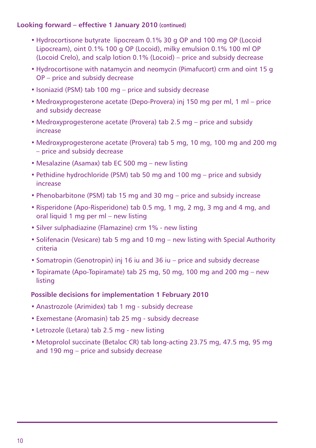### **Looking forward – effective 1 January 2010 (continued)**

- Hydrocortisone butyrate lipocream 0.1% 30 g OP and 100 mg OP (Locoid Lipocream), oint 0.1% 100 g OP (Locoid), milky emulsion 0.1% 100 ml OP (Locoid Crelo), and scalp lotion 0.1% (Locoid) – price and subsidy decrease
- Hydrocortisone with natamycin and neomycin (Pimafucort) crm and oint 15 g OP – price and subsidy decrease
- Isoniazid (PSM) tab 100 mg price and subsidy decrease
- Medroxyprogesterone acetate (Depo-Provera) inj 150 mg per ml, 1 ml price and subsidy decrease
- Medroxyprogesterone acetate (Provera) tab 2.5 mg price and subsidy increase
- Medroxyprogesterone acetate (Provera) tab 5 mg, 10 mg, 100 mg and 200 mg – price and subsidy decrease
- Mesalazine (Asamax) tab EC 500 mg new listing
- Pethidine hydrochloride (PSM) tab 50 mg and 100 mg price and subsidy increase
- Phenobarbitone (PSM) tab 15 mg and 30 mg price and subsidy increase
- Risperidone (Apo-Risperidone) tab 0.5 mg, 1 mg, 2 mg, 3 mg and 4 mg, and oral liquid 1 mg per ml – new listing
- Silver sulphadiazine (Flamazine) crm 1% new listing
- Solifenacin (Vesicare) tab 5 mg and 10 mg new listing with Special Authority criteria
- Somatropin (Genotropin) inj 16 iu and 36 iu price and subsidy decrease
- Topiramate (Apo-Topiramate) tab 25 mg, 50 mg, 100 mg and 200 mg new listing

### **Possible decisions for implementation 1 February 2010**

- Anastrozole (Arimidex) tab 1 mg subsidy decrease
- Exemestane (Aromasin) tab 25 mg subsidy decrease
- Letrozole (Letara) tab 2.5 mg new listing
- Metoprolol succinate (Betaloc CR) tab long-acting 23.75 mg, 47.5 mg, 95 mg and 190 mg – price and subsidy decrease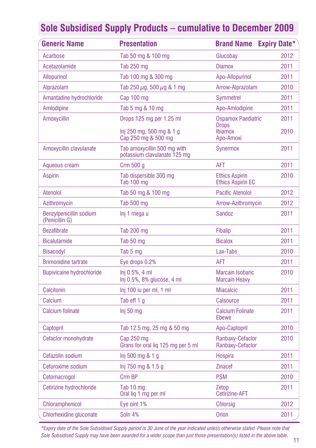| <b>Generic Name</b>                       | <b>Presentation</b>                                         | <b>Brand Name</b>                                 | <b>Expiry Date*</b> |
|-------------------------------------------|-------------------------------------------------------------|---------------------------------------------------|---------------------|
| Acarbose                                  | Tab 50 mg & 100 mg                                          | Glucobay                                          | 2012                |
| Acetazolamide                             | Tab 250 mg                                                  | <b>Diamox</b>                                     | 2011                |
| <b>Allopurinol</b>                        | Tab 100 mg & 300 mg                                         | Apo-Allopurinol                                   | 2011                |
| Alprazolam                                | Tab 250 $\mu$ g, 500 $\mu$ g & 1 mg                         | Arrow-Alprazolam                                  | 2010                |
| Amantadine hydrochloride                  | Cap 100 mg                                                  | <b>Symmetrel</b>                                  | 2011                |
| Amlodipine                                | Tab 5 mg & 10 mg                                            | Apo-Amlodipine                                    | 2011                |
| Amoxycillin                               | Drops 125 mg per 1.25 ml                                    | <b>Ospamox Paediatric</b>                         | 2011                |
|                                           | Inj 250 mg, 500 mg & 1 g<br>Cap 250 mg & 500 mg             | <b>Drops</b><br><b>Ibiamox</b><br>Apo-Amoxi       | 2010                |
| Amoxycillin clavulanate                   | Tab amoxycillin 500 mg with<br>potassium clavulanate 125 mg | <b>Synermox</b>                                   | 2011                |
| Aqueous cream                             | Crm $500$ g                                                 | <b>AFT</b>                                        | 2011                |
| <b>Aspirin</b>                            | Tab dispersible 300 mg<br>Tab 100 mg                        | <b>Ethics Aspirin</b><br><b>Ethics Aspirin EC</b> | 2010                |
| Atenolol                                  | Tab 50 mg & 100 mg                                          | <b>Pacific Atenolol</b>                           | 2012                |
| Azithromycin                              | Tab 500 mg                                                  | Arrow-Azithromycin                                | 2012                |
| Benzylpenicillin sodium<br>(Penicillin G) | Inj 1 mega u                                                | <b>Sandoz</b>                                     | 2011                |
| <b>Bezafibrate</b>                        | <b>Tab 200 mg</b>                                           | <b>Fibalip</b>                                    | 2011                |
| <b>Bicalutamide</b>                       | Tab 50 mg                                                   | <b>Bicalox</b>                                    | 2011                |
| <b>Bisacodyl</b>                          | Tab 5 mg                                                    | Lax-Tabs                                          | 2010                |
| <b>Brimonidine tartrate</b>               | Eye drops 0.2%                                              | AFT                                               | 2011                |
| <b>Bupivicaine hydrochloride</b>          | Inj 0.5%, 4 ml<br>Inj 0.5%, 8% glucose, 4 ml                | <b>Marcain Isobaric</b><br><b>Marcain Heavy</b>   | 2010                |
| Calcitonin                                | Inj 100 iu per ml, 1 ml                                     | <b>Miacalcic</b>                                  | 2011                |
| Calcium                                   | Tab eff 1 g                                                 | <b>Calsource</b>                                  | 2011                |
| <b>Calcium folinate</b>                   | Inj 50 mg                                                   | <b>Calcium Folinate</b><br><b>Ebewe</b>           | 2011                |
| Captopril                                 | Tab 12.5 mg, 25 mg & 50 mg                                  | Apo-Captopril                                     | 2010                |
| Cefaclor monohydrate                      | Cap 250 mg<br>Grans for oral lig 125 mg per 5 ml            | Ranbaxy-Cefaclor<br>Ranbaxy-Cefaclor              | 2010                |
| Cefazolin sodium                          | Inj 500 mg & 1 g                                            | <b>Hospira</b>                                    | 2011                |
| Cefuroxime sodium                         | lnj 750 mg & 1.5 g                                          | <b>Zinacef</b>                                    | 2011                |
| Cetomacrogol                              | Crm BP                                                      | <b>PSM</b>                                        | 2010                |
| Cetirizine hydrochloride                  | Tab 10 mg<br>Oral liq 1 mg per ml                           | Zetop<br><b>Cetirizine-AFT</b>                    | 2011                |
| <b>Chloramphenicol</b>                    | Eye oint 1%                                                 | Chlorsig                                          | 2012                |
| Chlorhexidine gluconate                   | Soln 4%                                                     | <b>Orion</b>                                      | 2011                |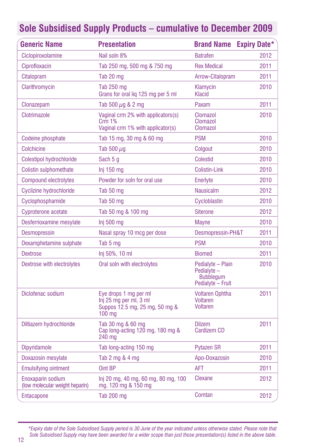| <b>Generic Name</b>                                 | <b>Presentation</b>                                                                                   | <b>Brand Name Expiry Date*</b>                                            |      |
|-----------------------------------------------------|-------------------------------------------------------------------------------------------------------|---------------------------------------------------------------------------|------|
| Ciclopiroxolamine                                   | Nail soln 8%                                                                                          | <b>Batrafen</b>                                                           | 2012 |
| Ciprofloxacin                                       | Tab 250 mg, 500 mg & 750 mg                                                                           | <b>Rex Medical</b>                                                        | 2011 |
| Citalopram                                          | Tab 20 mg                                                                                             | Arrow-Citalopram                                                          | 2011 |
| Clarithromycin                                      | Tab 250 mg<br>Grans for oral lig 125 mg per 5 ml                                                      | Klamycin<br>Klacid                                                        | 2010 |
| Clonazepam                                          | Tab 500 $\mu$ q & 2 mq                                                                                | Paxam                                                                     | 2011 |
| Clotrimazole                                        | Vaginal crm 2% with applicators(s)<br>Crm 1%<br>Vaginal crm 1% with applicator(s)                     | Clomazol<br>Clomazol<br>Clomazol                                          | 2010 |
| Codeine phosphate                                   | Tab 15 mg, 30 mg & 60 mg                                                                              | <b>PSM</b>                                                                | 2010 |
| Colchicine                                          | Tab 500 $\mu$ g                                                                                       | Colgout                                                                   | 2010 |
| Colestipol hydrochloride                            | Sach 5 g                                                                                              | <b>Colestid</b>                                                           | 2010 |
| Colistin sulphomethate                              | $Inj$ 150 mg                                                                                          | <b>Colistin-Link</b>                                                      | 2010 |
| <b>Compound electrolytes</b>                        | Powder for soln for oral use                                                                          | Enerlyte                                                                  | 2010 |
| Cyclizine hydrochloride                             | Tab 50 mg                                                                                             | <b>Nausicalm</b>                                                          | 2012 |
| Cyclophosphamide                                    | Tab 50 mg                                                                                             | Cycloblastin                                                              | 2010 |
| Cyproterone acetate                                 | Tab 50 mg & 100 mg                                                                                    | <b>Siterone</b>                                                           | 2012 |
| Desferrioxamine mesylate                            | Inj 500 mg                                                                                            | Mayne                                                                     | 2010 |
| <b>Desmopressin</b>                                 | Nasal spray 10 mcg per dose                                                                           | Desmopressin-PH&T                                                         | 2011 |
| Dexamphetamine sulphate                             | Tab 5 mg                                                                                              | <b>PSM</b>                                                                | 2010 |
| <b>Dextrose</b>                                     | Inj 50%, 10 ml                                                                                        | <b>Biomed</b>                                                             | 2011 |
| Dextrose with electrolytes                          | Oral soln with electrolytes                                                                           | Pedialyte - Plain<br>Pedialyte -<br><b>Bubbleaum</b><br>Pedialyte - Fruit | 2010 |
| Diclofenac sodium                                   | Eye drops 1 mg per ml<br>Inj 25 mg per ml, 3 ml<br>Suppos 12.5 mg, 25 mg, 50 mg &<br>$100 \text{ mg}$ | <b>Voltaren Ophtha</b><br><b>Voltaren</b><br><b>Voltaren</b>              | 2011 |
| Diltiazem hydrochloride                             | Tab 30 mg & 60 mg<br>Cap long-acting 120 mg, 180 mg &<br>240 mg                                       | <b>Dilzem</b><br><b>Cardizem CD</b>                                       | 2011 |
| <b>Dipyridamole</b>                                 | Tab long-acting 150 mg                                                                                | <b>Pytazen SR</b>                                                         | 2011 |
| Doxazosin mesylate                                  | Tab $2 \text{ mg } 84 \text{ mg}$                                                                     | Apo-Doxazosin                                                             | 2010 |
| <b>Emulsifying ointment</b>                         | Oint BP                                                                                               | <b>AFT</b>                                                                | 2011 |
| Enoxaparin sodium<br>(low molecular weight heparin) | Inj 20 mg, 40 mg, 60 mg, 80 mg, 100<br>mg, 120 mg & 150 mg                                            | Clexane                                                                   | 2012 |
| Entacapone                                          | <b>Tab 200 mg</b>                                                                                     | Comtan                                                                    | 2012 |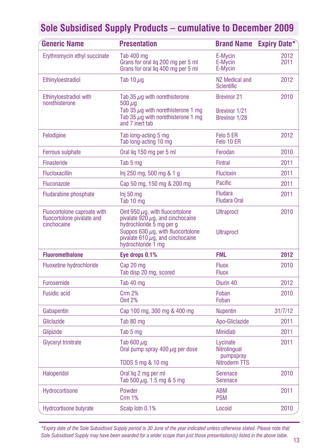| <b>Generic Name</b>                                                      | <b>Presentation</b>                                                                                                                                                                                                 |                                                        | <b>Brand Name Expiry Date*</b> |
|--------------------------------------------------------------------------|---------------------------------------------------------------------------------------------------------------------------------------------------------------------------------------------------------------------|--------------------------------------------------------|--------------------------------|
| Erythromycin ethyl succinate                                             | Tab 400 mg<br>Grans for oral liq 200 mg per 5 ml<br>Grans for oral liq 400 mg per 5 ml                                                                                                                              | E-Mycin<br>E-Mycin<br>E-Mycin                          | 2012<br>2011                   |
| Ethinyloestradiol                                                        | Tab 10 $\mu$ g                                                                                                                                                                                                      | <b>NZ Medical and</b><br><b>Scientific</b>             | 2012                           |
| Ethinyloestradiol with<br>norethisterone                                 | Tab 35 $\mu$ q with norethisterone<br>500 $\mu$ g<br>Tab 35 $\mu$ g with norethisterone 1 mg<br>Tab 35 $\mu$ g with norethisterone 1 mg<br>and 7 inert tab                                                          | <b>Brevinor 21</b><br>Brevinor 1/21<br>Brevinor 1/28   | 2010                           |
| Felodipine                                                               | Tab long-acting 5 mg<br>Tab long-acting 10 mg                                                                                                                                                                       | Felo 5 ER<br>Felo 10 ER                                | 2012                           |
| <b>Ferrous sulphate</b>                                                  | Oral lig 150 mg per 5 ml                                                                                                                                                                                            | Ferodan                                                | 2010                           |
| Finasteride                                                              | Tab 5 mg                                                                                                                                                                                                            | <b>Fintral</b>                                         | 2011                           |
| <b>Flucloxacillin</b>                                                    | lnj 250 mg, 500 mg & 1 g                                                                                                                                                                                            | <b>Flucloxin</b>                                       | 2011                           |
| Fluconazole                                                              | Cap 50 mg, 150 mg & 200 mg                                                                                                                                                                                          | <b>Pacific</b>                                         | 2011                           |
| <b>Fludarabine phosphate</b>                                             | Inj 50 <sub>mq</sub><br>Tab 10 mg                                                                                                                                                                                   | <b>Fludara</b><br><b>Fludara Oral</b>                  | 2011                           |
| Fluocortolone caproate with<br>fluocortolone pivalate and<br>cinchocaine | Oint 950 $\mu$ g, with fluocortolone<br>pivalate $920 \mu q$ , and cinchocaine<br>hydrochloride 5 mg per g<br>Suppos 630 $\mu$ g, with fluocortolone<br>pivalate 610 $\mu$ g, and cinchocaine<br>hydrochloride 1 mg | <b>Ultraproct</b><br><b>Ultraproct</b>                 | 2010                           |
| <b>Fluoromethalone</b>                                                   | Eye drops 0.1%                                                                                                                                                                                                      | FML                                                    | 2012                           |
| <b>Fluoxetine hydrochloride</b>                                          | Cap 20 mg<br>Tab disp 20 mg, scored                                                                                                                                                                                 | <b>Fluox</b><br><b>Fluox</b>                           | 2010                           |
| <b>Furosemide</b>                                                        | Tab 40 mg                                                                                                                                                                                                           | Diurin 40                                              | 2012                           |
| <b>Fusidic acid</b>                                                      | <b>Crm 2%</b><br>Oint $2%$                                                                                                                                                                                          | Foban<br>Foban                                         | 2010                           |
| Gabapentin                                                               | Cap 100 mg, 300 mg & 400 mg                                                                                                                                                                                         | <b>Nupentin</b>                                        | 31/7/12                        |
| Gliclazide                                                               | Tab 80 mg                                                                                                                                                                                                           | Apo-Gliclazide                                         | 2011                           |
| Glipizide                                                                | Tab 5 mg                                                                                                                                                                                                            | <b>Minidiab</b>                                        | 2011                           |
| Glyceryl trinitrate                                                      | Tab 600 $\mu$ g<br>Oral pump spray 400 $\mu$ g per dose<br>TDDS 5 mg & 10 mg                                                                                                                                        | Lycinate<br>Nitrolingual<br>pumpspray<br>Nitroderm TTS | 2011                           |
| <b>Haloperidol</b>                                                       | Oral liq 2 mg per ml<br>Tab 500 $\mu$ g, 1.5 mg & 5 mg                                                                                                                                                              | Serenace<br><b>Serenace</b>                            | 2010                           |
| Hydrocortisone                                                           | Powder<br>Crm 1%                                                                                                                                                                                                    | <b>ABM</b><br><b>PSM</b>                               | 2011                           |
| <b>Hydrcortisone butyrate</b>                                            | Scalp lotn 0.1%                                                                                                                                                                                                     | Locoid                                                 | 2010                           |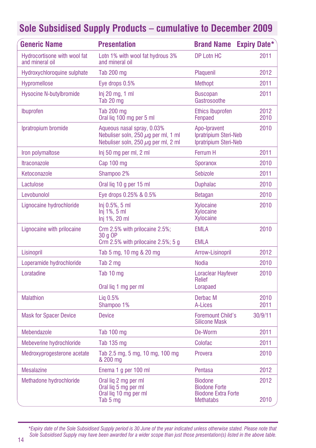| <b>Generic Name</b>                             | <b>Presentation</b>                                                                                                | <b>Brand Name</b>                                                                        | <b>Expiry Date*</b> |
|-------------------------------------------------|--------------------------------------------------------------------------------------------------------------------|------------------------------------------------------------------------------------------|---------------------|
| Hydrocortisone with wool fat<br>and mineral oil | Lotn 1% with wool fat hydrous 3%<br>and mineral oil                                                                | DP Lotn HC                                                                               | 2011                |
| Hydroxychloroquine sulphate                     | Tab 200 mg                                                                                                         | Plaquenil                                                                                | 2012                |
| Hypromellose                                    | Eye drops 0.5%                                                                                                     | <b>Methopt</b>                                                                           | 2011                |
| <b>Hysocine N-butylbromide</b>                  | $Inj 20$ mg, 1 ml<br>Tab 20 mg                                                                                     | <b>Buscopan</b><br>Gastrosoothe                                                          | 2011                |
| Ibuprofen                                       | <b>Tab 200 mg</b><br>Oral lig 100 mg per 5 ml                                                                      | <b>Ethics Ibuprofen</b><br>Fenpaed                                                       | 2012<br>2010        |
| Ipratropium bromide                             | Aqueous nasal spray, 0.03%<br>Nebuliser soln, 250 $\mu$ g per ml, 1 ml<br>Nebuliser soln, 250 $\mu$ q per ml, 2 ml | Apo-Ipravent<br>Ipratripium Steri-Neb<br>Ipratripium Steri-Neb                           | 2010                |
| Iron polymaltose                                | Inj 50 mg per ml, 2 ml                                                                                             | Ferrum H                                                                                 | 2011                |
| <b>Itraconazole</b>                             | Cap 100 mg                                                                                                         | Sporanox                                                                                 | 2010                |
| Ketoconazole                                    | Shampoo 2%                                                                                                         | <b>Sebizole</b>                                                                          | 2011                |
| Lactulose                                       | Oral lig 10 g per 15 ml                                                                                            | <b>Duphalac</b>                                                                          | 2010                |
| Levobunolol                                     | Eye drops 0.25% & 0.5%                                                                                             | <b>Betagan</b>                                                                           | 2010                |
| Lignocaine hydrochloride                        | Inj 0.5%, 5 ml<br>$Inj$ 1%, 5 ml<br>Inj 1%, 20 ml                                                                  | Xylocaine<br><b>Xvlocaine</b><br>Xylocaine                                               | 2010                |
| Lignocaine with prilocaine                      | Crm 2.5% with prilocaine 2.5%;<br>30 a OP<br>Crm 2.5% with prilocaine $2.5\%$ ; 5 g                                | <b>EMLA</b><br><b>EMLA</b>                                                               | 2010                |
| Lisinopril                                      | Tab 5 mg, 10 mg & 20 mg                                                                                            | Arrow-Lisinopril                                                                         | 2012                |
| Loperamide hydrochloride                        | Tab 2 mg                                                                                                           | <b>Nodia</b>                                                                             | 2010                |
| Loratadine                                      | Tab 10 mg                                                                                                          | <b>Loraclear Hayfever</b><br><b>Relief</b>                                               | 2010                |
|                                                 | Oral lig 1 mg per ml                                                                                               | Lorapaed                                                                                 |                     |
| <b>Malathion</b>                                | $Liq$ 0.5%<br>Shampoo 1%                                                                                           | Derbac M<br>A-Lices                                                                      | 2010<br>2011        |
| <b>Mask for Spacer Device</b>                   | <b>Device</b>                                                                                                      | <b>Foremount Child's</b><br><b>Silicone Mask</b>                                         | 30/9/11             |
| Mebendazole                                     | Tab 100 mg                                                                                                         | De-Worm                                                                                  | 2011                |
| Mebeverine hydrochloride                        | Tab 135 mg                                                                                                         | Colofac                                                                                  | 2011                |
| Medroxyprogesterone acetate                     | Tab 2.5 mg, 5 mg, 10 mg, 100 mg<br>& 200 mg                                                                        | Provera                                                                                  | 2010                |
| <b>Mesalazine</b>                               | Enema 1 g per 100 ml                                                                                               | Pentasa                                                                                  | 2012                |
| Methadone hydrochloride                         | Oral lig 2 mg per ml<br>Oral lig 5 mg per ml<br>Oral lig 10 mg per ml<br>Tab 5 mg                                  | <b>Biodone</b><br><b>Biodone Forte</b><br><b>Biodone Extra Forte</b><br><b>Methatabs</b> | 2012<br>2010        |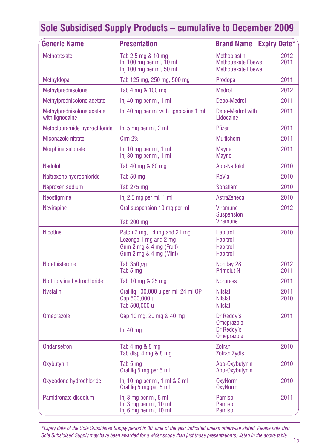| <b>Generic Name</b>                           | <b>Presentation</b>                                                                                       | <b>Brand Name</b>                                                             | <b>Expiry Date*</b> |
|-----------------------------------------------|-----------------------------------------------------------------------------------------------------------|-------------------------------------------------------------------------------|---------------------|
| <b>Methotrexate</b>                           | Tab 2.5 mg & 10 mg<br>Inj 100 mg per ml, 10 ml<br>Inj 100 mg per ml, 50 ml                                | <b>Methoblastin</b><br><b>Methotrexate Ebewe</b><br><b>Methotrexate Ebewe</b> | 2012<br>2011        |
| Methyldopa                                    | Tab 125 mg, 250 mg, 500 mg                                                                                | Prodopa                                                                       | 2011                |
| Methylprednisolone                            | Tab 4 mg & 100 mg                                                                                         | <b>Medrol</b>                                                                 | 2012                |
| Methylprednisolone acetate                    | Inj 40 mg per ml, 1 ml                                                                                    | Depo-Medrol                                                                   | 2011                |
| Methylprednisolone acetate<br>with lignocaine | Ini 40 mg per ml with lignocaine 1 ml                                                                     | Depo-Medrol with<br>Lidocaine                                                 | 2011                |
| Metoclopramide hydrochloride                  | Inj 5 mg per ml, 2 ml                                                                                     | Pfizer                                                                        | 2011                |
| Miconazole nitrate                            | <b>Crm 2%</b>                                                                                             | <b>Multichem</b>                                                              | 2011                |
| Morphine sulphate                             | lnj 10 mg per ml, 1 ml<br>Inj 30 mg per ml, 1 ml                                                          | <b>Mayne</b><br><b>Mayne</b>                                                  | 2011                |
| <b>Nadolol</b>                                | Tab 40 mg & 80 mg                                                                                         | Apo-Nadolol                                                                   | 2010                |
| Naltrexone hydrochloride                      | Tab 50 mg                                                                                                 | <b>ReVia</b>                                                                  | 2010                |
| Naproxen sodium                               | Tab 275 mg                                                                                                | Sonaflam                                                                      | 2010                |
| Neostigmine                                   | Inj 2.5 mg per ml, 1 ml                                                                                   | AstraZeneca                                                                   | 2010                |
| <b>Nevirapine</b>                             | Oral suspension 10 mg per ml<br>Tab 200 mg                                                                | <b>Viramune</b><br><b>Suspension</b><br><b>Viramune</b>                       | 2012                |
| <b>Nicotine</b>                               | Patch 7 mg, 14 mg and 21 mg<br>Lozenge 1 mg and 2 mg<br>Gum 2 mg & 4 mg (Fruit)<br>Gum 2 mg & 4 mg (Mint) | <b>Habitrol</b><br><b>Habitrol</b><br><b>Habitrol</b><br><b>Habitrol</b>      | 2010                |
| Norethisterone                                | Tab $350 \mu q$<br>Tab 5 mg                                                                               | Noriday 28<br><b>Primolut N</b>                                               | 2012<br>2011        |
| Nortriptyline hydrochloride                   | Tab 10 mg & 25 mg                                                                                         | <b>Norpress</b>                                                               | 2011                |
| <b>Nystatin</b>                               | Oral lig 100,000 u per ml, 24 ml OP<br>Cap 500,000 u<br>Tab 500,000 u                                     | <b>Nilstat</b><br><b>Nilstat</b><br><b>Nilstat</b>                            | 2011<br>2010        |
| Omeprazole                                    | Cap 10 mg, 20 mg & 40 mg<br>Inj 40 mg                                                                     | Dr Reddy's<br><b>Omeprazole</b><br>Dr Reddy's<br><b>Omeprazole</b>            | 2011                |
| <b>Ondansetron</b>                            | Tab $4 \text{ mg } 88 \text{ mg}$<br>Tab disp 4 mg & 8 mg                                                 | Zofran<br><b>Zofran Zydis</b>                                                 | 2010                |
| Oxybutynin                                    | Tab 5 mg<br>Oral lig 5 mg per 5 ml                                                                        | Apo-Oxybutynin<br>Apo-Oxybutynin                                              | 2010                |
| Oxycodone hydrochloride                       | $lnj$ 10 mg per ml, 1 ml & 2 ml<br>Oral lig 5 mg per 5 ml                                                 | <b>OxyNorm</b><br><b>OxyNorm</b>                                              | 2010                |
| Pamidronate disodium                          | Inj 3 mg per ml, 5 ml<br>Inj 3 mg per ml, 10 ml<br>Inj 6 mg per ml, 10 ml                                 | Pamisol<br>Pamisol<br>Pamisol                                                 | 2011                |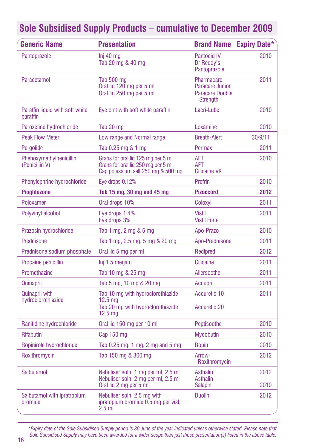| Generic Name                                | <b>Presentation</b>                                                                                            | <b>Brand Name</b>                                                          | <b>Expiry Date*</b> |
|---------------------------------------------|----------------------------------------------------------------------------------------------------------------|----------------------------------------------------------------------------|---------------------|
| Pantoprazole                                | $Inj$ 40 $ma$<br>Tab 20 mg & 40 mg                                                                             | <b>Pantocid IV</b><br>Dr Reddy's<br>Pantoprazole                           | 2010                |
| Paracetamol                                 | Tab 500 mg<br>Oral lig 120 mg per 5 ml<br>Oral lig 250 mg per 5 ml                                             | Pharmacare<br>Paracare Junior<br><b>Paracare Double</b><br><b>Strength</b> | 2011                |
| Paraffin liquid with soft white<br>paraffin | Eye oint with soft white paraffin                                                                              | Lacri-Lube                                                                 | 2010                |
| Paroxetine hydrochloride                    | Tab 20 mg                                                                                                      | Loxamine                                                                   | 2010                |
| <b>Peak Flow Meter</b>                      | Low range and Normal range                                                                                     | <b>Breath-Alert</b>                                                        | 30/9/11             |
| Pergolide                                   | Tab 0.25 mg & 1 mg                                                                                             | Permax                                                                     | 2011                |
| Phenoxymethylpenicillin<br>(Penicillin V)   | Grans for oral lig 125 mg per 5 ml<br>Grans for oral lig 250 mg per 5 ml<br>Cap potassium salt 250 mg & 500 mg | <b>AFT</b><br><b>AFT</b><br><b>Cilicaine VK</b>                            | 2010                |
| Phenylephrine hydrochloride                 | Eye drops 0.12%                                                                                                | Prefrin                                                                    | 2010                |
| <b>Pioglitazone</b>                         | Tab 15 mg, 30 mg and 45 mg                                                                                     | <b>Pizaccord</b>                                                           | 2012                |
| Poloxamer                                   | Oral drops 10%                                                                                                 | Coloxyl                                                                    | 2011                |
| Polyvinyl alcohol                           | Eye drops 1.4%<br>Eye drops 3%                                                                                 | <b>Vistil</b><br><b>Vistil Forte</b>                                       | 2011                |
| Prazosin hydrochloride                      | Tab 1 mg, 2 mg & 5 mg                                                                                          | Apo-Prazo                                                                  | 2010                |
| Prednisone                                  | Tab 1 mg, 2.5 mg, 5 mg & 20 mg                                                                                 | Apo-Prednisone                                                             | 2011                |
| Prednisone sodium phosphate                 | Oral lig 5 mg per ml                                                                                           | Redipred                                                                   | 2012                |
| Procaine penicillin                         | Inj 1.5 mega u                                                                                                 | Cilicaine                                                                  | 2011                |
| Promethazine                                | Tab 10 mg & 25 mg                                                                                              | Allersoothe                                                                | 2011                |
| Quinapril                                   | Tab 5 mg, 10 mg & 20 mg                                                                                        | Accupril                                                                   | 2011                |
| <b>Quinapril with</b>                       | Tab 10 mg with hydroclorothiazide                                                                              | Accuretic 10                                                               | 2011                |
| hydroclorothiazide                          | 12.5 <sub>mq</sub><br>Tab 20 mg with hydroclorothiazide<br>12.5 <sub>mg</sub>                                  | Accuretic 20                                                               |                     |
| Ranitidine hydrochloride                    | Oral lig 150 mg per 10 ml                                                                                      | Peptisoothe                                                                | 2010                |
| <b>Rifabutin</b>                            | Cap $150$ mg                                                                                                   | <b>Mycobutin</b>                                                           | 2010                |
| Ropinirole hydrochloride                    | Tab 0.25 mg, 1 mg, 2 mg and 5 mg                                                                               | Ropin                                                                      | 2010                |
| Roxithromycin                               | Tab 150 mg & 300 mg                                                                                            | Arrow-<br>Roxithromycin                                                    | 2012                |
| Salbutamol                                  | Nebuliser soln, 1 mg per ml, 2.5 ml<br>Nebuliser soln, 2 mg per ml, 2.5 ml                                     | Asthalin<br>Asthalin                                                       | 2012                |
|                                             | Oral lig 2 mg per 5 ml                                                                                         | <b>Salapin</b>                                                             | 2010                |
| Salbutamol with ipratropium<br>bromide      | Nebuliser soln, 2.5 mg with<br>ipratopium bromide 0.5 mg per vial,<br>$2.5$ m                                  | <b>Duolin</b>                                                              | 2012                |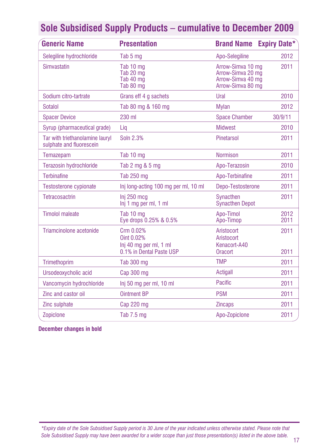| <b>Generic Name</b>                                         | <b>Presentation</b>                                                           | <b>Brand Name</b>                                                                | <b>Expiry Date*</b> |
|-------------------------------------------------------------|-------------------------------------------------------------------------------|----------------------------------------------------------------------------------|---------------------|
| Selegiline hydrochloride                                    | Tab 5 mg                                                                      | Apo-Selegiline                                                                   | 2012                |
| Simvastatin                                                 | Tab 10 mg<br>Tab 20 mg<br>Tab 40 mg<br>Tab 80 mg                              | Arrow-Simva 10 mg<br>Arrow-Simva 20 mg<br>Arrow-Simva 40 mg<br>Arrow-Simva 80 mg | 2011                |
| Sodium citro-tartrate                                       | Grans eff 4 g sachets                                                         | Ural                                                                             | 2010                |
| Sotalol                                                     | Tab 80 mg & 160 mg                                                            | <b>Mylan</b>                                                                     | 2012                |
| <b>Spacer Device</b>                                        | 230 ml                                                                        | <b>Space Chamber</b>                                                             | 30/9/11             |
| Syrup (pharmaceutical grade)                                | Lig                                                                           | <b>Midwest</b>                                                                   | 2010                |
| Tar with triethanolamine lauryl<br>sulphate and fluorescein | Soln 2.3%                                                                     | Pinetarsol                                                                       | 2011                |
| Temazepam                                                   | Tab 10 mg                                                                     | <b>Normison</b>                                                                  | 2011                |
| <b>Terazosin hydrochloride</b>                              | Tab 2 mg & 5 mg                                                               | Apo-Terazosin                                                                    | 2010                |
| <b>Terbinafine</b>                                          | <b>Tab 250 mg</b>                                                             | Apo-Terbinafine                                                                  | 2011                |
| Testosterone cypionate                                      | Inj long-acting 100 mg per ml, 10 ml                                          | Depo-Testosterone                                                                | 2011                |
| Tetracosactrin                                              | Ini 250 mca<br>Inj 1 mg per ml, 1 ml                                          | Synacthen<br><b>Synacthen Depot</b>                                              | 2011                |
| <b>Timolol maleate</b>                                      | Tab 10 mg<br>Eye drops 0.25% & 0.5%                                           | Apo-Timol<br>Apo-Timop                                                           | 2012<br>2011        |
| Triamcinolone acetonide                                     | Crm 0.02%<br>Oint 0.02%<br>Inj 40 mg per ml, 1 ml<br>0.1% in Dental Paste USP | Aristocort<br>Aristocort<br>Kenacort-A40<br><b>Oracort</b>                       | 2011<br>2011        |
| Trimethoprim                                                | Tab 300 mg                                                                    | <b>TMP</b>                                                                       | 2011                |
| Ursodeoxycholic acid                                        | Cap 300 mg                                                                    | Actigall                                                                         | 2011                |
| Vancomycin hydrochloride                                    | Inj 50 mg per ml, 10 ml                                                       | <b>Pacific</b>                                                                   | 2011                |
| Zinc and castor oil                                         | <b>Ointment BP</b>                                                            | <b>PSM</b>                                                                       | 2011                |
| Zinc sulphate                                               | Cap 220 mg                                                                    | <b>Zincaps</b>                                                                   | 2011                |
| Zopiclone                                                   | Tab 7.5 mg                                                                    | Apo-Zopiclone                                                                    | 2011                |

**December changes in bold**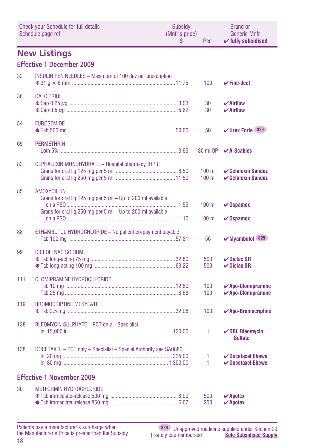| <b>Check your Schedule for full details</b><br>Schedule page ref |                                                                                                                                                  | Subsidy<br>(Mnfr's price)<br>\$ | Per                  | <b>Brand or</b><br><b>Generic Mnfr</b><br>$\checkmark$ fully subsidised     |
|------------------------------------------------------------------|--------------------------------------------------------------------------------------------------------------------------------------------------|---------------------------------|----------------------|-----------------------------------------------------------------------------|
|                                                                  | <b>New Listings</b>                                                                                                                              |                                 |                      |                                                                             |
|                                                                  | <b>Effective 1 December 2009</b>                                                                                                                 |                                 |                      |                                                                             |
| 32                                                               | <b>INSULIN PEN NEEDLES - Maximum of 100 dev per prescription</b>                                                                                 |                                 | 100                  | $\checkmark$ Fine-Ject                                                      |
| 36                                                               | <b>CALCITRIOL</b>                                                                                                                                |                                 | 30<br>30             | $\boldsymbol{\checkmark}$ Airflow<br>$\boldsymbol{\mathsf{v}}$ Airflow      |
| 54                                                               | <b>FUROSEMIDE</b>                                                                                                                                |                                 | 50                   | <b>√Urex Forte S29</b>                                                      |
| 65                                                               | <b>PERMETHRIN</b>                                                                                                                                |                                 | 30 ml OP             | $\mathcal{V}$ A-Scabies                                                     |
| 83                                                               | CEPHALEXIN MONOHYDRATE - Hospital pharmacy [HP3]                                                                                                 |                                 | $100$ ml<br>$100$ ml | <b>∠Cefalexin Sandoz</b><br><b>∠Cefalexin Sandoz</b>                        |
| 85                                                               | <b>AMOXYCILLIN</b><br>Grans for oral liq 125 mg per 5 ml - Up to 200 ml available<br>Grans for oral liq 250 mg per 5 ml - Up to 200 ml available |                                 | $100$ ml<br>$100$ ml | $\nu$ Ospamox<br>$\nu$ Ospamox                                              |
| 88                                                               | ETHAMBUTOL HYDROCHLORIDE - No patient co-payment payable                                                                                         |                                 | 56                   | ✔ Myambutol (S29)                                                           |
| 99                                                               | <b>DICLOFENAC SODIUM</b>                                                                                                                         |                                 | 500<br>500           | $\vee$ Diclax SR<br>$\nu$ Diclax SR                                         |
| 111                                                              | <b>CLOMIPRAMINE HYDROCHLORIDE</b>                                                                                                                |                                 | 100<br>100           | $\checkmark$ Apo-Clomipramine<br>$\boldsymbol{\checkmark}$ Apo-Clomipramine |
| 119                                                              | <b>BROMOCRIPTINE MESYLATE</b>                                                                                                                    |                                 | 100                  | $\checkmark$ Apo-Bromocriptine                                              |
| 138                                                              | <b>BLEOMYCIN SULPHATE - PCT only - Specialist</b>                                                                                                |                                 | 1                    | $\nu$ DBL Bleomycin<br><b>Sulfate</b>                                       |
| 138                                                              | DOCETAXEL - PCT only - Specialist - Special Authority see SA0880                                                                                 |                                 | 1<br>1               | $\nu$ Docetaxel Ebewe<br>$\nu$ Docetaxel Ebewe                              |
|                                                                  | <b>Effective 1 November 2009</b>                                                                                                                 |                                 |                      |                                                                             |
| 30                                                               | <b>METFORMIN HYDROCHLORIDE</b>                                                                                                                   |                                 | 500<br>250           | $\boldsymbol{\checkmark}$ Apotex<br>$\boldsymbol{\mathcal{V}}$ Apotex       |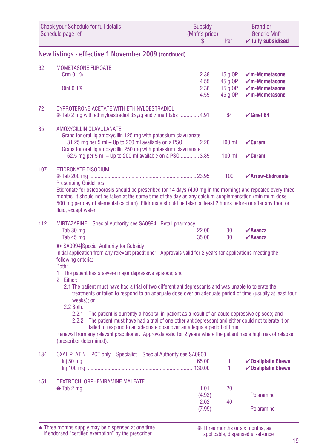|     | Check your Schedule for full details<br>Schedule page ref                                                                                                                                                                                                                                                                                                                                                                                                                                                                                                                                                                                                                                                                                                                                                                                                                                                                                                                                                                                                | <b>Subsidy</b><br>(Mnfr's price)<br>S | Per                                      | <b>Brand or</b><br><b>Generic Mnfr</b><br>$\checkmark$ fully subsidised              |
|-----|----------------------------------------------------------------------------------------------------------------------------------------------------------------------------------------------------------------------------------------------------------------------------------------------------------------------------------------------------------------------------------------------------------------------------------------------------------------------------------------------------------------------------------------------------------------------------------------------------------------------------------------------------------------------------------------------------------------------------------------------------------------------------------------------------------------------------------------------------------------------------------------------------------------------------------------------------------------------------------------------------------------------------------------------------------|---------------------------------------|------------------------------------------|--------------------------------------------------------------------------------------|
|     | New listings - effective 1 November 2009 (continued)                                                                                                                                                                                                                                                                                                                                                                                                                                                                                                                                                                                                                                                                                                                                                                                                                                                                                                                                                                                                     |                                       |                                          |                                                                                      |
| 62  | <b>MOMETASONE FUROATE</b>                                                                                                                                                                                                                                                                                                                                                                                                                                                                                                                                                                                                                                                                                                                                                                                                                                                                                                                                                                                                                                | 4.55<br>4.55                          | 15 g OP<br>45 g OP<br>15 g OP<br>45 g OP | $\nu$ m-Mometasone<br>$\nu$ m-Mometasone<br>$\nu$ m-Mometasone<br>$\nu$ m-Mometasone |
| 72  | CYPROTERONE ACETATE WITH ETHINYLOESTRADIOL<br>$*$ Tab 2 mg with ethinyloestradiol 35 $\mu$ g and 7 inert tabs 4.91                                                                                                                                                                                                                                                                                                                                                                                                                                                                                                                                                                                                                                                                                                                                                                                                                                                                                                                                       |                                       | 84                                       | $\checkmark$ Ginet 84                                                                |
| 85  | <b>AMOXYCILLIN CLAVULANATE</b><br>Grans for oral liq amoxycillin 125 mg with potassium clavulanate<br>31.25 mg per 5 ml - Up to 200 ml available on a PSO2.20<br>Grans for oral liq amoxycillin 250 mg with potassium clavulanate<br>62.5 mg per 5 ml - Up to 200 ml available on a PSO3.85                                                                                                                                                                                                                                                                                                                                                                                                                                                                                                                                                                                                                                                                                                                                                              |                                       | $100$ ml<br>$100$ ml                     | $\mathbf{v}$ Curam<br>$\mathbf{v}$ Curam                                             |
| 107 | <b>ETIDRONATE DISODIUM</b><br><b>Prescribing Guidelines</b><br>Etidronate for osteoporosis should be prescribed for 14 days (400 mg in the morning) and repeated every three<br>months. It should not be taken at the same time of the day as any calcium supplementation (minimum dose -<br>500 mg per day of elemental calcium). Etidronate should be taken at least 2 hours before or after any food or<br>fluid, except water.                                                                                                                                                                                                                                                                                                                                                                                                                                                                                                                                                                                                                       |                                       | 100                                      | ✔ Arrow-Etidronate                                                                   |
| 112 | MIRTAZAPINE - Special Authority see SA0994- Retail pharmacy<br>>> SA0994 Special Authority for Subsidy<br>Initial application from any relevant practitioner. Approvals valid for 2 years for applications meeting the<br>following criteria:<br>Both:<br>The patient has a severe major depressive episode; and<br>1.<br>$\overline{2}$<br>Either:<br>2.1 The patient must have had a trial of two different antidepressants and was unable to tolerate the<br>treatments or failed to respond to an adequate dose over an adequate period of time (usually at least four<br>weeks); or<br>2.2 Both:<br>2.2.1<br>The patient is currently a hospital in-patient as a result of an acute depressive episode; and<br>The patient must have had a trial of one other antidepressant and either could not tolerate it or<br>2.2.2<br>failed to respond to an adequate dose over an adequate period of time.<br>Renewal from any relevant practitioner. Approvals valid for 2 years where the patient has a high risk of relapse<br>(prescriber determined). |                                       | 30<br>30                                 | $\boldsymbol{\nu}$ Avanza<br>$\boldsymbol{\checkmark}$ Avanza                        |
| 134 | OXALIPLATIN - PCT only - Specialist - Special Authority see SA0900                                                                                                                                                                                                                                                                                                                                                                                                                                                                                                                                                                                                                                                                                                                                                                                                                                                                                                                                                                                       |                                       | 1<br>1.                                  | $\checkmark$ Oxaliplatin Ebewe<br>$\checkmark$ Oxaliplatin Ebewe                     |
| 151 | DEXTROCHLORPHENIRAMINE MALEATE                                                                                                                                                                                                                                                                                                                                                                                                                                                                                                                                                                                                                                                                                                                                                                                                                                                                                                                                                                                                                           | (4.93)<br>2.02<br>(7.99)              | 20<br>40                                 | Polaramine<br>Polaramine                                                             |

Three months supply may be dispensed at one time if endorsed "certified exemption" by the prescriber. ▲ ❋ Three months or six months, as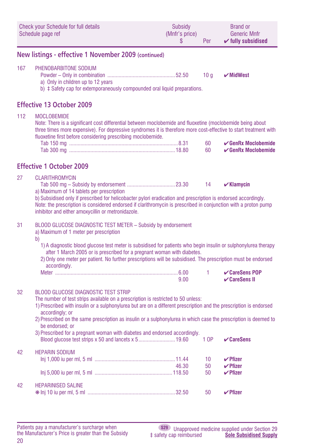| <b>Check your Schedule for full details</b><br>Schedule page ref |                                                                                                                                                                                                                                                                                                                                                                                                                                                                                               | <b>Subsidy</b><br>(Mnfr's price)<br>\$ | Per                   | <b>Brand or</b><br><b>Generic Mnfr</b><br>$\checkmark$ fully subsidised |  |  |
|------------------------------------------------------------------|-----------------------------------------------------------------------------------------------------------------------------------------------------------------------------------------------------------------------------------------------------------------------------------------------------------------------------------------------------------------------------------------------------------------------------------------------------------------------------------------------|----------------------------------------|-----------------------|-------------------------------------------------------------------------|--|--|
| New listings - effective 1 November 2009 (continued)             |                                                                                                                                                                                                                                                                                                                                                                                                                                                                                               |                                        |                       |                                                                         |  |  |
| 167                                                              | PHENOBARBITONE SODIUM<br>a) Only in children up to 12 years<br>b) $\pm$ Safety cap for extemporaneously compounded oral liquid preparations.                                                                                                                                                                                                                                                                                                                                                  |                                        | 10 <sub>g</sub>       | $\boldsymbol{\checkmark}$ MidWest                                       |  |  |
|                                                                  | <b>Effective 13 October 2009</b>                                                                                                                                                                                                                                                                                                                                                                                                                                                              |                                        |                       |                                                                         |  |  |
| 112                                                              | <b>MOCLOBEMIDE</b><br>Note: There is a significant cost differential between moclobemide and fluoxetine (moclobemide being about<br>three times more expensive). For depressive syndromes it is therefore more cost-effective to start treatment with<br>fluoxetine first before considering prescribing moclobemide.                                                                                                                                                                         |                                        | 60<br>60              | $\checkmark$ GenRx Moclobemide<br>$\mathcal{C}$ GenRx Moclobemide       |  |  |
|                                                                  |                                                                                                                                                                                                                                                                                                                                                                                                                                                                                               |                                        |                       |                                                                         |  |  |
|                                                                  | <b>Effective 1 October 2009</b>                                                                                                                                                                                                                                                                                                                                                                                                                                                               |                                        |                       |                                                                         |  |  |
| 27                                                               | <b>CLARITHROMYCIN</b><br>a) Maximum of 14 tablets per prescription<br>b) Subsidised only if prescribed for helicobacter pylori eradication and prescription is endorsed accordingly.<br>Note: the prescription is considered endorsed if clarithromycin is prescribed in conjunction with a proton pump<br>inhibitor and either amoxycillin or metronidazole.                                                                                                                                 |                                        | 14                    | $\mathbf{v}$ Klamycin                                                   |  |  |
| 31                                                               | BLOOD GLUCOSE DIAGNOSTIC TEST METER - Subsidy by endorsement<br>a) Maximum of 1 meter per prescription<br>b)                                                                                                                                                                                                                                                                                                                                                                                  |                                        |                       |                                                                         |  |  |
|                                                                  | 1) A diagnostic blood glucose test meter is subsidised for patients who begin insulin or sulphonylurea therapy<br>after 1 March 2005 or is prescribed for a pregnant woman with diabetes.<br>2) Only one meter per patient. No further prescriptions will be subsidised. The prescription must be endorsed<br>accordingly.                                                                                                                                                                    |                                        |                       |                                                                         |  |  |
|                                                                  |                                                                                                                                                                                                                                                                                                                                                                                                                                                                                               | 9.00                                   | 1                     | <b>∠CareSens POP</b><br><b>∠CareSens II</b>                             |  |  |
| 32                                                               | <b>BLOOD GLUCOSE DIAGNOSTIC TEST STRIP</b><br>The number of test strips available on a prescription is restricted to 50 unless:<br>1) Prescribed with insulin or a sulphonylurea but are on a different prescription and the prescription is endorsed<br>accordingly; or<br>2) Prescribed on the same prescription as insulin or a sulphonylurea in which case the prescription is deemed to<br>be endorsed: or<br>3) Prescribed for a pregnant woman with diabetes and endorsed accordingly. |                                        | 1 OP                  | $\vee$ CareSens                                                         |  |  |
| 42                                                               | <b>HEPARIN SODIUM</b>                                                                                                                                                                                                                                                                                                                                                                                                                                                                         | 46.30                                  | 10 <sup>1</sup><br>50 | $\nu$ Pfizer<br>$\vee$ Pfizer                                           |  |  |
|                                                                  |                                                                                                                                                                                                                                                                                                                                                                                                                                                                                               |                                        | 50                    | $\nu$ Pfizer                                                            |  |  |
| 42                                                               | <b>HEPARINISED SALINE</b>                                                                                                                                                                                                                                                                                                                                                                                                                                                                     |                                        | 50                    | $V$ Pfizer                                                              |  |  |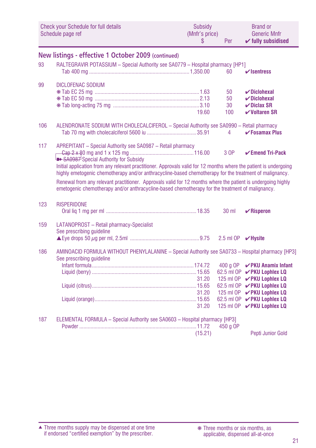|     | Check your Schedule for full details<br>Schedule page ref                                                                                                                                                                                                                                                                                                                                                                                                                                                                                               | Subsidy<br>(Mnfr's price)<br>S | Per                         | <b>Brand or</b><br><b>Generic Mnfr</b><br>$\checkmark$ fully subsidised                                                                                                                                                                                   |
|-----|---------------------------------------------------------------------------------------------------------------------------------------------------------------------------------------------------------------------------------------------------------------------------------------------------------------------------------------------------------------------------------------------------------------------------------------------------------------------------------------------------------------------------------------------------------|--------------------------------|-----------------------------|-----------------------------------------------------------------------------------------------------------------------------------------------------------------------------------------------------------------------------------------------------------|
|     | New listings - effective 1 October 2009 (continued)                                                                                                                                                                                                                                                                                                                                                                                                                                                                                                     |                                |                             |                                                                                                                                                                                                                                                           |
| 93  | RALTEGRAVIR POTASSIUM - Special Authority see SA0779 - Hospital pharmacy [HP1]                                                                                                                                                                                                                                                                                                                                                                                                                                                                          |                                | 60                          | $\mathbf{v}$ Isentress                                                                                                                                                                                                                                    |
| 99  | DICLOFENAC SODIUM                                                                                                                                                                                                                                                                                                                                                                                                                                                                                                                                       | 19.60                          | 50<br>50<br>30<br>100       | $\boldsymbol{\nu}$ Diclohexal<br>$\nu$ Diclohexal<br>$\nu$ Diclax SR<br>$\checkmark$ Voltaren SR                                                                                                                                                          |
| 106 | ALENDRONATE SODIUM WITH CHOLECALCIFEROL - Special Authority see SA0990 - Retail pharmacy                                                                                                                                                                                                                                                                                                                                                                                                                                                                |                                | 4                           | $\checkmark$ Fosamax Plus                                                                                                                                                                                                                                 |
| 117 | APREPITANT - Special Authority see SA0987 - Retail pharmacy<br>SA0987 Special Authority for Subsidy<br>Initial application from any relevant practitioner. Approvals valid for 12 months where the patient is undergoing<br>highly emetogenic chemotherapy and/or anthracycline-based chemotherapy for the treatment of malignancy.<br>Renewal from any relevant practitioner. Approvals valid for 12 months where the patient is undergoing highly<br>emetogenic chemotherapy and/or anthracycline-based chemotherapy for the treatment of malignancy. |                                | 3 OP                        | $\checkmark$ Emend Tri-Pack                                                                                                                                                                                                                               |
| 123 | <b>RISPERIDONE</b>                                                                                                                                                                                                                                                                                                                                                                                                                                                                                                                                      |                                | $30$ ml                     | $\mathbf{V}$ Risperon                                                                                                                                                                                                                                     |
| 159 | LATANOPROST - Retail pharmacy-Specialist<br>See prescribing quideline                                                                                                                                                                                                                                                                                                                                                                                                                                                                                   |                                | 2.5 ml OP $\sqrt{v}$ Hysite |                                                                                                                                                                                                                                                           |
| 186 | AMINOACID FORMULA WITHOUT PHENYLALANINE - Special Authority see SA0733 - Hospital pharmacy [HP3]<br>See prescribing quideline                                                                                                                                                                                                                                                                                                                                                                                                                           | 31.20<br>31.20<br>31.20        | 400 a OP                    | $\vee$ PKU Anamix Infant<br>62.5 ml OP <b>V PKU Lophlex LQ</b><br>125 ml OP <b>V PKU Lophlex LQ</b><br>62.5 ml OP <b>V PKU Lophlex LQ</b><br>125 ml OP <b>V PKU Lophlex LQ</b><br>62.5 ml OP <b>V PKU Lophlex LQ</b><br>125 ml OP <b>V PKU Lophlex LQ</b> |
| 187 | ELEMENTAL FORMULA - Special Authority see SA0603 - Hospital pharmacy [HP3]                                                                                                                                                                                                                                                                                                                                                                                                                                                                              | (15.21)                        | 450 g OP                    | Pepti Junior Gold                                                                                                                                                                                                                                         |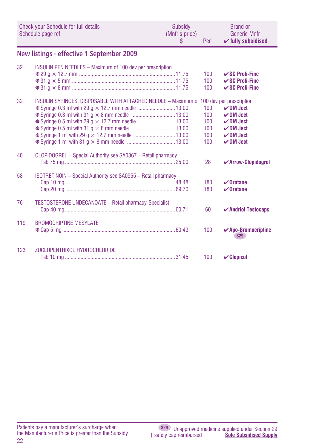|     | Check your Schedule for full details<br>Schedule page ref                               | Subsidy<br>(Mnfr's price)<br>S | Per                                    | <b>Brand or</b><br><b>Generic Mnfr</b><br>$\checkmark$ fully subsidised                            |
|-----|-----------------------------------------------------------------------------------------|--------------------------------|----------------------------------------|----------------------------------------------------------------------------------------------------|
|     | New listings - effective 1 September 2009                                               |                                |                                        |                                                                                                    |
| 32  | <b>INSULIN PEN NEEDLES - Maximum of 100 dev per prescription</b>                        |                                | 100<br>100<br>100                      | $\mathcal V$ SC Profi-Fine<br>$\mathcal V$ SC Profi-Fine<br>$\mathcal V$ SC Profi-Fine             |
| 32  | INSULIN SYRINGES, DISPOSABLE WITH ATTACHED NEEDLE - Maximum of 100 dev per prescription |                                | 100<br>100<br>100<br>100<br>100<br>100 | $\nu$ DM Ject<br>$\nu$ DM Ject<br>$\nu$ DM Ject<br>$\nu$ DM Ject<br>$\nu$ DM Ject<br>$\nu$ DM Ject |
| 40  | CLOPIDOGREL - Special Authority see SA0867 - Retail pharmacy                            |                                | 28                                     | ✔ Arrow-Clopidogrel                                                                                |
| 58  | ISOTRETINOIN - Special Authority see SA0955 - Retail pharmacy                           |                                | 180<br>180                             | $\vee$ Oratane<br>$\boldsymbol{\nu}$ Oratane                                                       |
| 76  | <b>TESTOSTERONE UNDECANOATE - Retail pharmacy-Specialist</b>                            |                                | 60                                     | $\boldsymbol{\checkmark}$ Andriol Testocaps                                                        |
| 119 | <b>BROMOCRIPTINE MESYLATE</b>                                                           |                                | 100                                    | $\checkmark$ Apo-Bromocriptine<br><b>S29</b>                                                       |
| 123 | ZUCLOPENTHIXOL HYDROCHLORIDE                                                            |                                | 100                                    | $\mathcal V$ Clopixol                                                                              |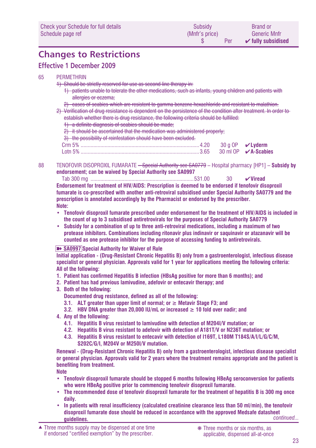## **Changes to Restrictions**

### **Effective 1 December 2009**

### 65 PERMETHRIN

- 1) Should be strictly reserved for use as second line therapy in:
	- 1) patients unable to tolerate the other medications, such as infants, young children and patients with allergies or eczema;
	- 2) cases of scabies which are resistent to gamma benzene hexachloride and resistant to malathion.
- 2) Verification of drug resistance is dependent on the persistence of the condition after treatment. In order to establish whether there is drug resistance, the following criteria should be fulfilled:
	- 1) a definite diagnosis of scabies should be made;
	- 2) it should be ascertained that the medication was administered properly;
	- 3) the possibility of reinfestation should have been excluded.

| $o$ tn 5% |  |
|-----------|--|

88 TENOFOVIR DISOPROXIL FUMARATE – Special Authority see SA0779 – Hospital pharmacy [HP1] – **Subsidy by endorsement; can be waived by Special Authority see SA0997**

 Tab 300 mg .........................................................................531.00 30 ✔**Viread Endorsement for treatment of HIV/AIDS: Prescription is deemed to be endorsed if tenofovir disoproxil fumarate is co-prescribed with another anti-retroviral subsidised under Special Authority SA0779 and the prescription is annotated accordingly by the Pharmacist or endorsed by the prescriber. Note:** 

- **• Tenofovir disoproxil fumarate prescribed under endorsement for the treatment of HIV/AIDS is included in the count of up to 3 subsidised antiretrovirals for the purposes of Special Authority SA0779**
- **• Subsidy for a combination of up to three anti-retroviral medications, including a maximum of two protease inhibitors. Combinations including ritonavir plus indinavir or saquinavir or atazanavir will be counted as one protease inhibitor for the purpose of accessing funding to antiretrovirals.**

#### ■ SA0997 Special Authority for Waiver of Rule

**Initial application - (Drug-Resistant Chronic Hepatitis B) only from a gastroenterologist, infectious disease specialist or general physician. Approvals valid for 1 year for applications meeting the following criteria: All of the following:**

- **1. Patient has confirmed Hepatitis B infection (HBsAg positive for more than 6 months); and**
- **2. Patient has had previous lamivudine, adefovir or entecavir therapy; and**
- **3. Both of the following:** 
	- **Documented drug resistance, defined as all of the following:**
	- **3.1. ALT greater than upper limit of normal; or ≥ Metavir Stage F3; and**
	- **3.2. HBV DNA greater than 20,000 IU/mL or increased ≥ 10 fold over nadir; and**
- **4. Any of the following:** 
	- **4.1. Hepatitis B virus resistant to lamivudine with detection of M204I/V mutation; or**
	- **4.2. Hepatitis B virus resistant to adefovir with detection of A181T/V or N236T mutation; or**
	- **4.3. Hepatitis B virus resistant to entecavir with detection of I169T, L180M T184S/A/I/L/G/C/M, S202C/G/I, M204V or M250I/V mutation.**

**Renewal - (Drug-Resistant Chronic Hepatitis B) only from a gastroenterologist, infectious disease specialist or general physician. Approvals valid for 2 years where the treatment remains appropriate and the patient is benefiting from treatment.**

**Note**

- **• Tenofovir disoproxil fumarate should be stopped 6 months following HBeAg seroconversion for patients who were HBeAg positive prior to commencing tenofovir disoproxil fumarate.**
- **• The recommended dose of tenofovir disoproxil fumarate for the treatment of hepatitis B is 300 mg once daily.**
- **• In patients with renal insufficiency (calculated creatinine clearance less than 50 ml/min), the tenofovir disoproxil fumarate dose should be reduced in accordance with the approved Medsafe datasheet guidelines.** *continued...*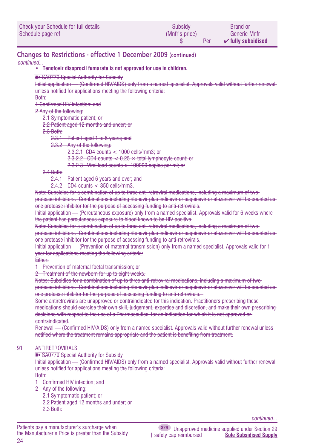| Check your Schedule for full details | Subsidy        | <b>Brand or</b>               |
|--------------------------------------|----------------|-------------------------------|
| Schedule page ref                    | (Mnfr's price) | <b>Generic Mnfr</b>           |
|                                      | Per            | $\mathcal V$ fully subsidised |

### **Changes to Restrictions - effective 1 December 2009 (continued)**

*continued...*

**• Tenofovir disoproxil fumarate is not approved for use in children.**

**EXAMPLE SANT SPECIAL Authority for Subsidy** 

Initial application — (Confirmed HIV/AIDS) only from a named specialist. Approvals valid without further renewal unless notified for applications meeting the following criteria:

Both:

1 Confirmed HIV infection; and

2 Any of the following:

2.1 Symptomatic patient; or

2.2 Patient aged 12 months and under; or

2.3 Both:

2.3.1 Patient aged 1 to 5 years; and

2.3.2 Any of the following:

2.3.2.1 CD4 counts < 1000 cells/mm3; or

2.3.2.2 CD4 counts  $< 0.25 \times$  total lymphocyte count; or

 $2.3.2.3$  Viral load counts  $> 100000$  copies per ml; or

2.4 Both:

2.4.1 Patient aged 6 years and over; and

2.4.2 CD4 counts < 350 cells/mm3.

Note: Subsidies for a combination of up to three anti-retroviral medications, including a maximum of two protease inhibitors. Combinations including ritonavir plus indinavir or saquinavir or atazanavir will be counted as one protease inhibitor for the purpose of accessing funding to anti-retrovirals.

Initial application — (Percutaneous exposure) only from a named specialist. Approvals valid for 6 weeks where the patient has percutaneous exposure to blood known to be HIV positive.

Note: Subsidies for a combination of up to three anti-retroviral medications, including a maximum of two

protease inhibitors. Combinations including ritonavir plus indinavir or saquinavir or atazanavir will be counted as one protease inhibitor for the purpose of accessing funding to anti-retrovirals.

Initial application — (Prevention of maternal transmission) only from a named specialist. Approvals valid for 1 year for applications meeting the following criteria:

**Either:** 

1 Prevention of maternal foetal transmission; or

2 Treatment of the newborn for up to eight weeks.

Notes: Subsidies for a combination of up to three anti-retroviral medications, including a maximum of two-

protease inhibitors. Combinations including ritonavir plus indinavir or saquinavir or atazanavir will be counted as one protease inhibitor for the purpose of accessing funding to anti-retrovirals.

Some antiretrovirals are unapproved or contraindicated for this indication. Practitioners prescribing these

medications should exercise their own skill, judgement, expertise and discretion, and make their own prescribing decisions with respect to the use of a Pharmaceutical for an indication for which it is not approved or contraindicated.

Renewal — (Confirmed HIV/AIDS) only from a named specialist. Approvals valid without further renewal unless notified where the treatment remains appropriate and the patient is benefiting from treatment.

#### 91 ANTIRETROVIRALS

**■** SA0779 Special Authority for Subsidy

Initial application — (Confirmed HIV/AIDS) only from a named specialist. Approvals valid without further renewal unless notified for applications meeting the following criteria:

Both:

- 1 Confirmed HIV infection; and
- 2 Any of the following:
	- 2.1 Symptomatic patient; or
	- 2.2 Patient aged 12 months and under; or
	- 2.3 Both:

*continued...*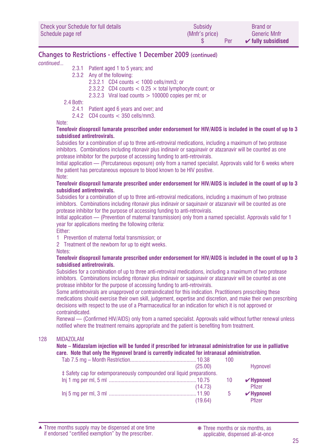| Check your Schedule for full details | Subsidy        | <b>Brand or</b>               |
|--------------------------------------|----------------|-------------------------------|
| Schedule page ref                    | (Mnfr's price) | Generic Mnfr                  |
|                                      | Per            | $\checkmark$ fully subsidised |

### **Changes to Restrictions - effective 1 December 2009 (continued)**

*continued...*

- 2.3.1 Patient aged 1 to 5 years; and
- 2.3.2 Any of the following:

2.3.2.1 CD4 counts < 1000 cells/mm3; or

2.3.2.2 CD4 counts  $< 0.25 \times$  total lymphocyte count; or

2.3.2.3 Viral load counts  $> 100000$  copies per ml; or

2.4 Both:

- 2.4.1 Patient aged 6 years and over; and
- 2.4.2 CD4 counts < 350 cells/mm3.

Note:

#### **Tenofovir disoproxil fumarate prescribed under endorsement for HIV/AIDS is included in the count of up to 3 subsidised antiretrovirals.**

Subsidies for a combination of up to three anti-retroviral medications, including a maximum of two protease inhibitors. Combinations including ritonavir plus indinavir or saquinavir or atazanavir will be counted as one protease inhibitor for the purpose of accessing funding to anti-retrovirals.

Initial application — (Percutaneous exposure) only from a named specialist. Approvals valid for 6 weeks where the patient has percutaneous exposure to blood known to be HIV positive. Note:

#### **Tenofovir disoproxil fumarate prescribed under endorsement for HIV/AIDS is included in the count of up to 3 subsidised antiretrovirals.**

Subsidies for a combination of up to three anti-retroviral medications, including a maximum of two protease inhibitors. Combinations including ritonavir plus indinavir or saquinavir or atazanavir will be counted as one protease inhibitor for the purpose of accessing funding to anti-retrovirals.

Initial application — (Prevention of maternal transmission) only from a named specialist. Approvals valid for 1 year for applications meeting the following criteria:

Either:

1 Prevention of maternal foetal transmission; or

2 Treatment of the newborn for up to eight weeks.

Notes:

#### **Tenofovir disoproxil fumarate prescribed under endorsement for HIV/AIDS is included in the count of up to 3 subsidised antiretrovirals.**

Subsidies for a combination of up to three anti-retroviral medications, including a maximum of two protease inhibitors. Combinations including ritonavir plus indinavir or saquinavir or atazanavir will be counted as one protease inhibitor for the purpose of accessing funding to anti-retrovirals.

Some antiretrovirals are unapproved or contraindicated for this indication. Practitioners prescribing these medications should exercise their own skill, judgement, expertise and discretion, and make their own prescribing decisions with respect to the use of a Pharmaceutical for an indication for which it is not approved or contraindicated.

Renewal — (Confirmed HIV/AIDS) only from a named specialist. Approvals valid without further renewal unless notified where the treatment remains appropriate and the patient is benefiting from treatment.

#### 128 MIDAZOLAM

**Note – Midazolam injection will be funded if prescribed for intranasal administration for use in palliative care. Note that only the Hypnovel brand is currently indicated for intranasal administration.**

|                                                                        |         | 100         |                 |
|------------------------------------------------------------------------|---------|-------------|-----------------|
|                                                                        | (25.00) |             | Hypnovel        |
| # Safety cap for extemporaneously compounded oral liquid preparations. |         |             |                 |
|                                                                        |         | -10         | $\vee$ Hypnovel |
|                                                                        | (14.73) |             | Pfizer          |
|                                                                        |         | $5^{\circ}$ | $\nu$ Hypnovel  |
|                                                                        | (19.64) |             | Pfizer          |

Three months supply may be dispensed at one time ▲ ❋ Three months or six months, as if endorsed "certified exemption" by the prescriber.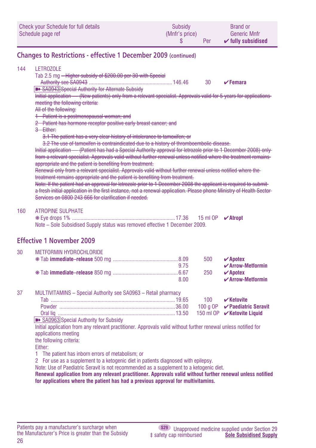| Check your Schedule for full details | Subsidy        | <b>Brand or</b>               |
|--------------------------------------|----------------|-------------------------------|
| Schedule page ref                    | (Mnfr's price) | <b>Generic Mnfr</b>           |
|                                      | Per            | $\mathcal V$ fully subsidised |

### **Changes to Restrictions - effective 1 December 2009 (continued)**

#### 144 **LETROZOLE**

Tab 2.5 mg – Higher subsidy of \$200.00 per 30 with Special

Authority see SA0943 ...........................................................146.46 30 ✔**Femara**

**EXAMPERS** SA0943 Special Authority for Alternate Subsidy

Initial application — (New patients) only from a relevant specialist. Approvals valid for 5 years for applications meeting the following criteria:

All of the following:

1 Patient is a postmenopausal woman; and

2 Patient has hormone receptor positive early breast cancer; and

3 Either:

3.1 The patient has a very clear history of intolerance to tamoxifen; or

3.2 The use of tamoxifen is contraindicated due to a history of thromboembolic disease.

Initial application — (Patient has had a Special Authority approval for letrozole prior to 1 December 2008) only from a relevant specialist. Approvals valid without further renewal unless notified where the treatment remains appropriate and the patient is benefiting from treatment.

Renewal only from a relevant specialist. Approvals valid without further renewal unless notified where the treatment remains appropriate and the patient is benefiting from treatment.

Note: If the patient had an approval for letrozole prior to 1 December 2008 the applicant is required to submita fresh initial application in the first instance, not a renewal application. Please phone Ministry of Health Sector Services on 0800 243 666 for clarification if needed.

#### 160 ATROPINE SULPHATE

| Note – Sole Subsidised Supply status was removed effective 1 December 2009. |  |  |
|-----------------------------------------------------------------------------|--|--|

#### **Effective 1 November 2009** 30 METFORMIN HYDROCHLORIDE

| 3U. | <b>INE IFURNIIN HYDRUGHLURIDE</b> |      |     |                                           |
|-----|-----------------------------------|------|-----|-------------------------------------------|
|     |                                   |      | 500 | $\vee$ Apotex                             |
|     |                                   | 9.75 |     | $\boldsymbol{\checkmark}$ Arrow-Metformin |
|     |                                   |      | 250 | $\boldsymbol{\nu}$ Apotex                 |
|     |                                   | 8.00 |     | $\mathcal V$ Arrow-Metformin              |
|     |                                   |      |     |                                           |

| 37 | MULTIVITAMINS - Special Authority see SA0963 - Retail pharmacy |                                     |
|----|----------------------------------------------------------------|-------------------------------------|
|    | Гah.                                                           | 100 <b>V Ketovite</b>               |
|    | Powder                                                         | 100 a OP <b>√Paediatric Seravit</b> |
|    |                                                                | 150 ml OP <b>√Ketovite Liquid</b>   |

**■** SA0963 Special Authority for Subsidy

Initial application from any relevant practitioner. Approvals valid without further renewal unless notified for applications meeting

the following criteria:

Either:

1 The patient has inborn errors of metabolism; or

2 For use as a supplement to a ketogenic diet in patients diagnosed with epilepsy.

Note: Use of Paediatric Seravit is not recommended as a supplement to a ketogenic diet.

**Renewal application from any relevant practitioner. Approvals valid without further renewal unless notified for applications where the patient has had a previous approval for multivitamins.**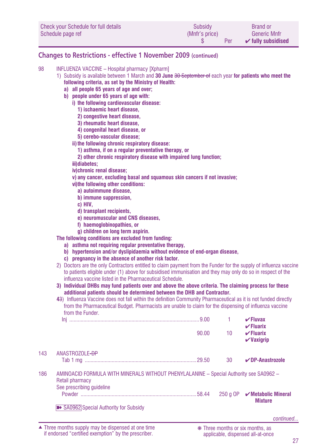| Check your Schedule for full details | Subsidy        | <b>Brand or</b>               |
|--------------------------------------|----------------|-------------------------------|
| Schedule page ref                    | (Mnfr's price) | <b>Generic Mnfr</b>           |
|                                      | Per            | $\checkmark$ fully subsidised |

### **Changes to Restrictions - effective 1 November 2009 (continued)**

#### 98 INFLUENZA VACCINE - Hospital pharmacy [Xpharm]

- 1) Subsidy is available between 1 March and **30 June** 30 September of each year **for patients who meet the following criteria, as set by the Ministry of Health:**
	- **a) all people 65 years of age and over;**
	- **b) people under 65 years of age with:**
		- **i) the following cardiovascular disease:**
			- **1) ischaemic heart disease,**
			- **2) congestive heart disease,**
			- **3) rheumatic heart disease,**
			- **4) congenital heart disease, or**
			- **5) cerebo-vascular disease;**
		- **ii)the following chronic respiratory disease:**
			- **1) asthma, if on a regular preventative therapy, or**
			- **2) other chronic respiratory disease with impaired lung function;**
		- **iii)diabetes;**
		- **iv)chronic renal disease;**
		- **v) any cancer, excluding basal and squamous skin cancers if not invasive;**
		- **vi)the following other conditions:**
			- **a) autoimmune disease,**
			- **b) immune suppression,**
			- **c) HIV,**
			- **d) transplant recipients,**
			- **e) neuromuscular and CNS diseases,**
			- **f) haemoglobinopathies, or**
			- **g) children on long term aspirin.**

**The following conditions are excluded from funding:**

- **a) asthma not requiring regular preventative therapy,**
- **b) hypertension and/or dyslipidaemia without evidence of end-organ disease,**
- **c) pregnancy in the absence of another risk factor.**
- 2) Doctors are the only Contractors entitled to claim payment from the Funder for the supply of influenza vaccine to patients eligible under (1) above for subsidised immunisation and they may only do so in respect of the influenza vaccine listed in the Pharmaceutical Schedule.
- **3) Individual DHBs may fund patients over and above the above criteria. The claiming process for these additional patients should be determined between the DHB and Contractor.**
- **4**3) Influenza Vaccine does not fall within the definition Community Pharmaceutical as it is not funded directly from the Pharmaceutical Budget. Pharmacists are unable to claim for the dispensing of influenza vaccine from the Funder.

|     |                                                                                                           |       |    | $V$ Fluvax<br>$\checkmark$ Fluarix                         |
|-----|-----------------------------------------------------------------------------------------------------------|-------|----|------------------------------------------------------------|
|     |                                                                                                           | 90.00 | 10 | $\checkmark$ Fluarix<br>$\boldsymbol{\mathsf{v}}$ Vaxiqrip |
| 143 | ANASTROZOLE-DP                                                                                            |       |    |                                                            |
|     |                                                                                                           |       | 30 | $\nu$ DP-Anastrozole                                       |
| 186 | AMINOACID FORMULA WITH MINERALS WITHOUT PHENYLALANINE - Special Authority see SA0962 -<br>Retail pharmacy |       |    |                                                            |
|     | See prescribing quideline                                                                                 |       |    |                                                            |
|     |                                                                                                           |       |    | <b>Mixture</b>                                             |
|     | SA0962 Special Authority for Subsidy                                                                      |       |    |                                                            |

Three months supply may be dispensed at one time ▲ ❋ Three months or six months, as if endorsed "certified exemption" by the prescriber.

*continued...*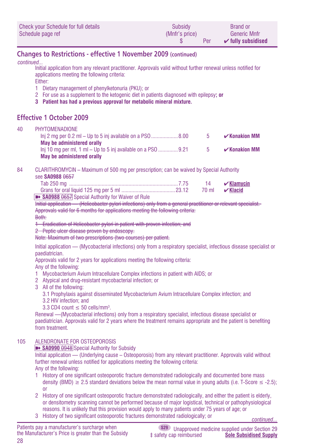| Check your Schedule for full details | Subsidy        | <b>Brand or</b>               |
|--------------------------------------|----------------|-------------------------------|
| Schedule page ref                    | (Mnfr's price) | <b>Generic Mnfr</b>           |
|                                      | Per            | $\checkmark$ fully subsidised |

### **Changes to Restrictions - effective 1 November 2009 (continued)**

*continued...*

Initial application from any relevant practitioner. Approvals valid without further renewal unless notified for applications meeting the following criteria:

Either:

- 1 Dietary management of phenylketonuria (PKU); or
- 2 For use as a supplement to the ketogenic diet in patients diagnosed with epilepsy**; or**
- **3 Patient has had a previous approval for metabolic mineral mixture.**

### **Effective 1 October 2009**

#### 40 PHYTOMENADIONE

|                                                                | - 5 | $\mathcal{V}$ Konakion MM |
|----------------------------------------------------------------|-----|---------------------------|
| <b>May be administered orally</b>                              |     |                           |
| $\ln$ 10 mg per ml, 1 ml – Up to 5 ini available on a PSO 9.21 | h   | $\mathcal{V}$ Konakion MM |
| May be administered orally                                     |     |                           |

84 CLARITHROMYCIN – Maximum of 500 mg per prescription; can be waived by Special Authority

see **SA0988** 0657

|                                                              |  | $\mathbf{v}$ Klamycin   |
|--------------------------------------------------------------|--|-------------------------|
|                                                              |  | 70 ml $\sqrt{ }$ Klacid |
| <b>By PANNON OCE 7</b> Consolel Authority for Waiver of Dule |  |                         |

#### **EXAMPRED 31 SHOU SAURE SPECIAL AUTHORITY FOR WAIVER Of Rule**

Initial application — (Helicobacter pylori infections) only from a general practitioner or relevant specialist. Approvals valid for 6 months for applications meeting the following criteria:

#### Both:

1 Eradication of Helicobacter pylori in patient with proven infection; and

#### 2 Peptic ulcer disease proven by endoscopy.

Note: Maximum of two prescriptions (two courses) per patient.

Initial application — (Mycobacterial infections) only from a respiratory specialist, infectious disease specialist or paediatrician.

Approvals valid for 2 years for applications meeting the following criteria:

Any of the following:

- 1 Mycobacterium Avium Intracellulare Complex infections in patient with AIDS; or
- 2 Atypical and drug-resistant mycobacterial infection; or
- 3 All of the following:
	- 3.1 Prophylaxis against disseminated Mycobacterium Avium Intracellulare Complex infection; and
	- 3.2 HIV infection; and
	- 3.3 CD4 count  $\leq 50$  cells/mm<sup>3</sup>.

Renewal —(Mycobacterial infections) only from a respiratory specialist, infectious disease specialist or paediatrician. Approvals valid for 2 years where the treatment remains appropriate and the patient is benefiting from treatment.

#### 105 ALENDRONATE FOR OSTEOPOROSIS

**■ SA0990** 0948 Special Authority for Subsidy

Initial application — (Underlying cause – Osteoporosis) from any relevant practitioner. Approvals valid without further renewal unless notified for applications meeting the following criteria: Any of the following:

- 1 History of one significant osteoporotic fracture demonstrated radiologically and documented bone mass density (BMD)  $\geq$  2.5 standard deviations below the mean normal value in young adults (i.e. T-Score  $\leq$  -2.5); or
- 2 History of one significant osteoporotic fracture demonstrated radiologically, and either the patient is elderly, or densitometry scanning cannot be performed because of major logistical, technical or pathophysiological reasons. It is unlikely that this provision would apply to many patients under 75 years of age; or
- <sup>3</sup> History of two significant osteoporotic fractures demonstrated radiologically; or *continued...*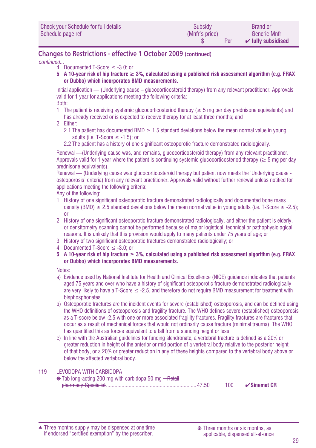### **Changes to Restrictions - effective 1 October 2009 (continued)**

*continued...*

- $4$  Documented T-Score  $\leq$  -3.0; or
- **5 A 10-year risk of hip fracture ≥ 3%, calculated using a published risk assessment algorithm (e.g. FRAX or Dubbo) which incorporates BMD measurements.**

Initial application — (Underlying cause – glucocorticosteroid therapy) from any relevant practitioner. Approvals valid for 1 year for applications meeting the following criteria: Both:

- 1 The patient is receiving systemic glucocorticosteriod therapy ( $\geq$  5 mg per day prednisone equivalents) and has already received or is expected to receive therapy for at least three months; and
- 2 Either:
	- 2.1 The patient has documented BMD  $\geq$  1.5 standard deviations below the mean normal value in young adults (i.e. T-Score  $\leq$  -1.5); or
	- 2.2 The patient has a history of one significant osteoporotic fracture demonstrated radiologically.

Renewal —(Underlying cause was, and remains, glucocorticosteroid therapy) from any relevant practitioner. Approvals valid for 1 year where the patient is continuing systemic glucocorticosteriod therapy ( $\geq 5$  mg per day prednisone equivalents).

Renewal — (Underlying cause was glucocorticosteroid therapy but patient now meets the 'Underlying cause osteoporosis' criteria) from any relevant practitioner. Approvals valid without further renewal unless notified for applications meeting the following criteria:

Any of the following:

- 1 History of one significant osteoporotic fracture demonstrated radiologically and documented bone mass density (BMD)  $\geq$  2.5 standard deviations below the mean normal value in young adults (i.e. T-Score  $\leq$  -2.5); or
- 2 History of one significant osteoporotic fracture demonstrated radiologically, and either the patient is elderly, or densitometry scanning cannot be performed because of major logistical, technical or pathophysiological reasons. It is unlikely that this provision would apply to many patients under 75 years of age; or
- 3 History of two significant osteoporotic fractures demonstrated radiologically; or
- 4 Documented T-Score ≤ -3.0; or
- **5 A 10-year risk of hip fracture ≥ 3%, calculated using a published risk assessment algorithm (e.g. FRAX or Dubbo) which incorporates BMD measurements.**

Notes:

- a) Evidence used by National Institute for Health and Clinical Excellence (NICE) guidance indicates that patients aged 75 years and over who have a history of significant osteoporotic fracture demonstrated radiologically are very likely to have a T-Score ≤ -2.5, and therefore do not require BMD measurement for treatment with bisphosphonates.
- b) Osteoporotic fractures are the incident events for severe (established) osteoporosis, and can be defined using the WHO definitions of osteoporosis and fragility fracture. The WHO defines severe (established) osteoporosis as a T-score below -2.5 with one or more associated fragility fractures. Fragility fractures are fractures that occur as a result of mechanical forces that would not ordinarily cause fracture (minimal trauma). The WHO has quantified this as forces equivalent to a fall from a standing height or less.
- c) In line with the Australian guidelines for funding alendronate, a vertebral fracture is defined as a 20% or greater reduction in height of the anterior or mid portion of a vertebral body relative to the posterior height of that body, or a 20% or greater reduction in any of these heights compared to the vertebral body above or below the affected vertebral body.

#### 119 **LEVODOPA WITH CARBIDOPA**  ❋ Tab long-acting 200 mg with carbidopa 50 mg – Retail pharmacy-Specialist................................................................47.50 100 ✔**Sinemet CR**

Three months supply may be dispensed at one time ▲ ❋ Three months or six months, as if endorsed "certified exemption" by the prescriber.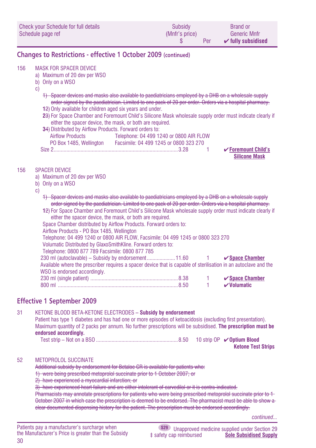| Check your Schedule for full details | Subsidy        | <b>Brand or</b>               |
|--------------------------------------|----------------|-------------------------------|
| Schedule page ref                    | (Mnfr's price) | Generic Mnfr                  |
|                                      | Per            | $\checkmark$ fully subsidised |

### **Changes to Restrictions - effective 1 October 2009 (continued)**

#### 156 MASK FOR SPACER DEVICE

- a) Maximum of 20 dev per WSO
- b) Only on a WSO
- c)
- 1) Spacer devices and masks also available to paediatricians employed by a DHB on a wholesale supply order signed by the paediatrician. Limited to one pack of 20 per order. Orders via a hospital pharmacy.
- **1**2) Only available for children aged six years and under.
- **2**3) For Space Chamber and Foremount Child's Silicone Mask wholesale supply order must indicate clearly if either the spacer device, the mask, or both are required.

| 34) Distributed by Airflow Products. Forward orders to: |                                         |                                |
|---------------------------------------------------------|-----------------------------------------|--------------------------------|
| Airflow Products                                        | Telephone: 04 499 1240 or 0800 AIR FLOW |                                |
| PO Box 1485, Wellington                                 | Facsimile: 04 499 1245 or 0800 323 270  |                                |
| Size 2                                                  |                                         | $\checkmark$ Foremount Child's |
|                                                         |                                         | <b>Silicone Mask</b>           |

#### 156 SPACER DEVICE

- a) Maximum of 20 dev per WSO
- b) Only on a WSO
- c)
- 1) Spacer devices and masks also available to paediatricians employed by a DHB on a wholesale supply order signed by the paediatrician. Limited to one pack of 20 per order. Orders via a hospital pharmacy. **1**2) For Space Chamber and Foremount Child's Silicone Mask wholesale supply order must indicate clearly if
- either the spacer device, the mask, or both are required. Space Chamber distributed by Airflow Products. Forward orders to:

Airflow Products - PO Box 1485, Wellington

Telephone: 04 499 1240 or 0800 AIR FLOW, Facsimile: 04 499 1245 or 0800 323 270

Volumatic Distributed by GlaxoSmithKline. Forward orders to:

Telephone: 0800 877 789 Facsimile: 0800 877 785

|                                                                                                                  |  | $\checkmark$ Space Chamber   |
|------------------------------------------------------------------------------------------------------------------|--|------------------------------|
| Available where the prescriber requires a spacer device that is capable of sterilisation in an autoclave and the |  |                              |
| WSO is endorsed accordingly.                                                                                     |  |                              |
|                                                                                                                  |  | $\checkmark$ Space Chamber   |
|                                                                                                                  |  | $\boldsymbol{\nu}$ Volumatic |

### **Effective 1 September 2009**

#### 31 KETONE BLOOD BETA-KETONE ELECTRODES **– Subsidy by endorsement**

Patient has type 1 diabetes and has had one or more episodes of ketoacidosis (excluding first presentation). Maximum quantity of 2 packs per annum. No further prescriptions will be subsidised. **The prescription must be endorsed accordingly.** Test strip – Not on a BSO ..........................................................8.50 10 strip OP ✔**Optium Blood**

**Ketone Test Strips**

#### 52 METOPROLOL SUCCINATE

Additional subsidy by endorsement for Betaloc CR is available for patients who:

1) were being prescribed metoprolol succinate prior to 1 October 2007; or

2) have experienced a myocardial infarction; or

3) have experienced heart failure and are either intolerant of carvedilol or it is contra-indicated.

Pharmacists may annotate prescriptions for patients who were being prescribed metoprolol succinate prior to 1 October 2007 in which case the prescription is deemed to be endorsed. The pharmacist must be able to show a clear documented dispensing history for the patient. The prescription must be endorsed accordingly.

*continued...*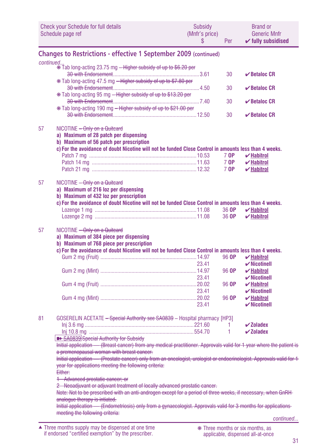|    | <b>Check your Schedule for full details</b><br>Schedule page ref                                                                                                                                                             | <b>Subsidy</b><br>(Mnfr's price)<br>\$ | Per   | <b>Brand or</b><br><b>Generic Mnfr</b><br>$\checkmark$ fully subsidised    |  |  |
|----|------------------------------------------------------------------------------------------------------------------------------------------------------------------------------------------------------------------------------|----------------------------------------|-------|----------------------------------------------------------------------------|--|--|
|    | <b>Changes to Restrictions - effective 1 September 2009 (continued)</b>                                                                                                                                                      |                                        |       |                                                                            |  |  |
|    | continued                                                                                                                                                                                                                    |                                        |       |                                                                            |  |  |
|    | * Tab long-acting 23.75 mg - Higher subsidy of up to \$6.20 per                                                                                                                                                              |                                        |       |                                                                            |  |  |
|    |                                                                                                                                                                                                                              |                                        | 30    | $\vee$ Betaloc CR                                                          |  |  |
|    | * Tab long-acting 47.5 mg - Higher subsidy of up to \$7.80 per                                                                                                                                                               |                                        | 30    | $\vee$ Betaloc CR                                                          |  |  |
|    | * Tab long-acting 95 mg - Higher subsidy of up to \$13.20 per                                                                                                                                                                |                                        |       |                                                                            |  |  |
|    |                                                                                                                                                                                                                              |                                        | 30    | $\vee$ Betaloc CR                                                          |  |  |
|    | * Tab long-acting 190 mg - Higher subsidy of up to \$21.00 per                                                                                                                                                               |                                        |       |                                                                            |  |  |
|    |                                                                                                                                                                                                                              |                                        | 30    | $\vee$ Betaloc CR                                                          |  |  |
| 57 | NICOTINE - Only on a Quitcard                                                                                                                                                                                                |                                        |       |                                                                            |  |  |
|    | a) Maximum of 28 patch per dispensing                                                                                                                                                                                        |                                        |       |                                                                            |  |  |
|    | b) Maximum of 56 patch per prescription                                                                                                                                                                                      |                                        |       |                                                                            |  |  |
|    | c) For the avoidance of doubt Nicotine will not be funded Close Control in amounts less than 4 weeks.                                                                                                                        |                                        |       |                                                                            |  |  |
|    |                                                                                                                                                                                                                              |                                        | 7 OP  | $\boldsymbol{\mathsf{v}}$ Habitrol                                         |  |  |
|    |                                                                                                                                                                                                                              |                                        | 7 OP  | $\boldsymbol{\mathsf{v}}$ Habitrol                                         |  |  |
|    |                                                                                                                                                                                                                              |                                        | 7 OP  | $\boldsymbol{\mathsf{v}}$ Habitrol                                         |  |  |
| 57 | NICOTINE - Only on a Quitcard                                                                                                                                                                                                |                                        |       |                                                                            |  |  |
|    | a) Maximum of 216 loz per dispensing                                                                                                                                                                                         |                                        |       |                                                                            |  |  |
|    | b) Maximum of 432 loz per prescription                                                                                                                                                                                       |                                        |       |                                                                            |  |  |
|    | c) For the avoidance of doubt Nicotine will not be funded Close Control in amounts less than 4 weeks.                                                                                                                        |                                        |       |                                                                            |  |  |
|    |                                                                                                                                                                                                                              |                                        | 36 OP | $\boldsymbol{\mathsf{v}}$ Habitrol                                         |  |  |
|    |                                                                                                                                                                                                                              |                                        | 36 OP | $\boldsymbol{\checkmark}$ Habitrol                                         |  |  |
| 57 | NICOTINE - Only on a Quitcard<br>a) Maximum of 384 piece per dispensing<br>b) Maximum of 768 piece per prescription<br>c) For the avoidance of doubt Nicotine will not be funded Close Control in amounts less than 4 weeks. |                                        | 96 OP | $\boldsymbol{\mathsf{v}}$ Habitrol                                         |  |  |
|    |                                                                                                                                                                                                                              | 23.41                                  |       | $\boldsymbol{\checkmark}$ Nicotinell                                       |  |  |
|    |                                                                                                                                                                                                                              | 23.41                                  | 96 OP | $\boldsymbol{\mathsf{v}}$ Habitrol<br>$\boldsymbol{\checkmark}$ Nicotinell |  |  |
|    |                                                                                                                                                                                                                              |                                        | 96 OP | $\boldsymbol{\mathsf{v}}$ Habitrol                                         |  |  |
|    |                                                                                                                                                                                                                              | 23.41                                  |       | $\boldsymbol{\checkmark}$ Nicotinell                                       |  |  |
|    |                                                                                                                                                                                                                              |                                        | 96 OP | $\boldsymbol{\mathsf{v}}$ Habitrol                                         |  |  |
|    |                                                                                                                                                                                                                              | 23.41                                  |       | $\boldsymbol{\checkmark}$ Nicotinell                                       |  |  |
| 81 | GOSERELIN ACETATE - Special Authority see SA0839 - Hospital pharmacy [HP3]                                                                                                                                                   |                                        |       |                                                                            |  |  |
|    |                                                                                                                                                                                                                              |                                        | 1     | $\boldsymbol{\checkmark}$ Zoladex                                          |  |  |
|    |                                                                                                                                                                                                                              |                                        | 1     | $\boldsymbol{\checkmark}$ Zoladex                                          |  |  |
|    | <b>B&gt; SA0839</b> Special Authority for Subsidy                                                                                                                                                                            |                                        |       |                                                                            |  |  |
|    | Initial application - (Breast cancer) from any medical practitioner. Approvals valid for 1 year where the patient is                                                                                                         |                                        |       |                                                                            |  |  |
|    | a premenopausal woman with breast cancer.<br>Initial application - (Prostate cancer) only from an oncologist, urologist or endocrinologist. Approvals valid for 1-                                                           |                                        |       |                                                                            |  |  |
|    | year for applications meeting the following criteria:                                                                                                                                                                        |                                        |       |                                                                            |  |  |
|    | Either:                                                                                                                                                                                                                      |                                        |       |                                                                            |  |  |
|    | 1 Advanced prostatic cancer; or<br>2 Neoadjuvant or adjuvant treatment of locally advanced prostatic cancer.                                                                                                                 |                                        |       |                                                                            |  |  |
|    | Note: Not to be prescribed with an anti-androgen except for a period of three weeks, if necessary, when GnRH-                                                                                                                |                                        |       |                                                                            |  |  |
|    | analogue therapy is intiated.                                                                                                                                                                                                |                                        |       |                                                                            |  |  |
|    | Initial application — (Endometriosis) only from a gynaecologist. Approvals valid for 3 months for applications                                                                                                               |                                        |       |                                                                            |  |  |
|    | meeting the following criteria:                                                                                                                                                                                              |                                        |       | continued                                                                  |  |  |
|    |                                                                                                                                                                                                                              |                                        |       |                                                                            |  |  |
|    | ▲ Three months supply may be dispensed at one time<br>if endorsed "certified exemption" by the prescriber.                                                                                                                   |                                        |       | * Three months or six months, as<br>applicable, dispensed all-at-once      |  |  |

applicable, dispensed all-at-once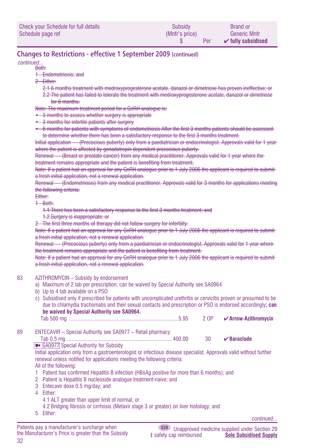| Check your Schedule for full details | Subsidy        | <b>Brand or</b>               |
|--------------------------------------|----------------|-------------------------------|
| Schedule page ref                    | (Mnfr's price) | <b>Generic Mnfr</b>           |
|                                      | Per            | $\checkmark$ fully subsidised |

### **Changes to Restrictions - effective 1 September 2009 (continued)**

#### Both: *continued...*

- 1 Endometriosis; and
- 2 Either:
	- 2.1 6 months treatment with medroxyprogesterone acetate, danazol or dimetriose has proven ineffective; or 2.2 The patient has failed to tolerate the treatment with medroxyprogesterone acetate, danazol or dimetriose
		- for 6 months.
- Note: The maximum treatment period for a GnRH analogue is:
- 3 months to assess whether surgery is appropriate
- 3 months for infertile patients after surgery
- 6 months for patients with symptoms of endometriosis After the first 3 months patients should be assessed to determine whether there has been a satisfactory response to the first 3 months treatment.

Initial application — (Precocious puberty) only from a paediatrician or endocrinologist. Approvals valid for 1 year where the patient is affected by gonadotropin dependent precocious puberty.

Renewal — (Breast or prostate cancer) from any medical practitioner. Approvals valid for 1 year where the treatment remains appropriate and the patient is benefiting from treatment.

Note: If a patient had an approval for any GnRH analogue prior to 1 July 2006 the applicant is required to submit a fresh initial application, not a renewal application.

Renewal — (Endometriosis) from any medical practitioner. Approvals valid for 3 months for applications meeting the following criteria:

#### Either:

1 Both:

1.1 There has been a satisfactory response to the first 3 months treatment; and

1.2 Surgery is inappropriate; or

2 The first three months of therapy did not follow surgery for infertility.

Note: If a patient had an approval for any GnRH analogue prior to 1 July 2006 the applicant is required to submit a fresh initial application, not a renewal application.

Renewal — (Precocious puberty) only from a paediatrician or endocrinologist. Approvals valid for 1 year where the treatment remains appropriate and the patient is benefiting from treatment.

Note: If a patient had an approval for any GnRH analogue prior to 1 July 2006 the applicant is required to submit a fresh initial application, not a renewal application.

#### 83 AZITHROMYCIN - Subsidy by endorsement

- a) Maximum of 2 tab per prescription; can be waived by Special Authority see SA0964
- b) Up to 4 tab available on a PSO
- c) Subsidised only if prescribed for patients with uncomplicated urethritis or cervicitis proven or presumed to be due to chlamydia trachomatis and their sexual contacts and prescription or PSO is endorsed accordingly**; can be waived by Special Authority see SA0964.**
- Tab 500 mg .............................................................................5.95 2 OP ✔**Arrow-Azithromycin** 89 ENTECAVIR – Special Authority see SA0977 – Retail pharmacy Tab 0.5 mg ...........................................................................400.00 30 ✔**Baraclude**
	- SA0977 Special Authority for Subsidy

Initial application only from a gastroenterologist or infectious disease specialist. Approvals valid without further renewal unless notified for applications meeting the following criteria:

- All of the following:
- 1 Patient has confirmed Hepatitis B infection (HBsAg positive for more than 6 months); and
- 2 Patient is Hepatitis B nucleoside analogue treatment-naive; and
- 3 Entecavir dose 0.5 mg/day; and
- 4 Either:
	- 4.1 ALT greater than upper limit of normal; or
	- 4.2 Bridging fibrosis or cirrhosis (Metavir stage 3 or greater) on liver histology; and
- 5 Either:

*continued...*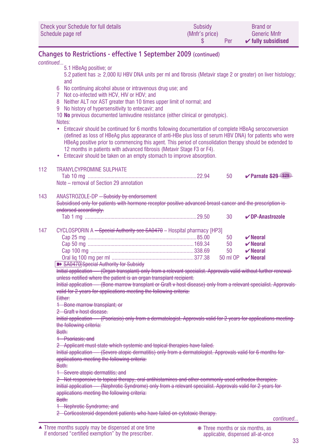| Check your Schedule for full details | Subsidy        | <b>Brand or</b>               |
|--------------------------------------|----------------|-------------------------------|
| Schedule page ref                    | (Mnfr's price) | <b>Generic Mnfr</b>           |
|                                      | Per            | $\checkmark$ fully subsidised |

## **Changes to Restrictions - effective 1 September 2009 (continued)**

|           | Changes to hestiltuons criteriae i september 2005 (committed                                                                                                                             |  |          |                                  |  |  |
|-----------|------------------------------------------------------------------------------------------------------------------------------------------------------------------------------------------|--|----------|----------------------------------|--|--|
| continued |                                                                                                                                                                                          |  |          |                                  |  |  |
|           | 5.1 HBeAg positive; or<br>5.2 patient has $\geq 2,000$ IU HBV DNA units per ml and fibrosis (Metavir stage 2 or greater) on liver histology;                                             |  |          |                                  |  |  |
|           | and                                                                                                                                                                                      |  |          |                                  |  |  |
|           |                                                                                                                                                                                          |  |          |                                  |  |  |
|           | 6 No continuing alcohol abuse or intravenous drug use; and                                                                                                                               |  |          |                                  |  |  |
|           | 7 Not co-infected with HCV, HIV or HDV; and                                                                                                                                              |  |          |                                  |  |  |
|           | 8 Neither ALT nor AST greater than 10 times upper limit of normal; and                                                                                                                   |  |          |                                  |  |  |
|           | 9 No history of hypersensitivity to entecavir; and                                                                                                                                       |  |          |                                  |  |  |
|           | 10 No previous documented lamivudine resistance (either clinical or genotypic).                                                                                                          |  |          |                                  |  |  |
|           | Notes:                                                                                                                                                                                   |  |          |                                  |  |  |
|           | Entecavir should be continued for 6 months following documentation of complete HBeAg seroconversion<br>$\bullet$                                                                         |  |          |                                  |  |  |
|           | (defined as loss of HBeAq plus appearance of anti-HBe plus loss of serum HBV DNA) for patients who were                                                                                  |  |          |                                  |  |  |
|           | HBeAg positive prior to commencing this agent. This period of consolidation therapy should be extended to                                                                                |  |          |                                  |  |  |
|           | 12 months in patients with advanced fibrosis (Metavir Stage F3 or F4).                                                                                                                   |  |          |                                  |  |  |
|           | • Entecavir should be taken on an empty stomach to improve absorption.                                                                                                                   |  |          |                                  |  |  |
|           |                                                                                                                                                                                          |  |          |                                  |  |  |
| 112       | <b>TRANYLCYPROMINE SULPHATE</b>                                                                                                                                                          |  |          |                                  |  |  |
|           |                                                                                                                                                                                          |  | 50       | ✔ Parnate S29 S29                |  |  |
|           | Note - removal of Section 29 annotation                                                                                                                                                  |  |          |                                  |  |  |
| 143       |                                                                                                                                                                                          |  |          |                                  |  |  |
|           | ANASTROZOLE-DP - Subsidy by endorsement                                                                                                                                                  |  |          |                                  |  |  |
|           | Subsidised only for patients with hormone receptor positive advanced breast cancer and the prescription is-                                                                              |  |          |                                  |  |  |
|           | endorsed accordingly.                                                                                                                                                                    |  |          |                                  |  |  |
|           |                                                                                                                                                                                          |  | 30       | $\nu$ DP-Anastrozole             |  |  |
| 147       | CYCLOSPORIN A - Special Authority see SA0470 - Hospital pharmacy [HP3]                                                                                                                   |  |          |                                  |  |  |
|           |                                                                                                                                                                                          |  | 50       |                                  |  |  |
|           |                                                                                                                                                                                          |  |          | $\boldsymbol{\mathsf{v}}$ Neoral |  |  |
|           |                                                                                                                                                                                          |  | 50       | $\boldsymbol{\mathsf{v}}$ Neoral |  |  |
|           |                                                                                                                                                                                          |  | 50       | $\boldsymbol{\nu}$ Neoral        |  |  |
|           |                                                                                                                                                                                          |  | 50 ml OP | $\vee$ Neoral                    |  |  |
|           | SA0470 Special Authority for Subsidy<br>Initial application - (Organ transplant) only from a relevant specialist. Approvals valid without further renewal-                               |  |          |                                  |  |  |
|           | unless notified where the patient is an organ transplant recipient.                                                                                                                      |  |          |                                  |  |  |
|           | Initial application - (Bone marrow transplant or Graft v host disease) only from a relevant specialist. Approvals                                                                        |  |          |                                  |  |  |
|           | valid for 2 years for applications meeting the following criteria:                                                                                                                       |  |          |                                  |  |  |
|           | Either:                                                                                                                                                                                  |  |          |                                  |  |  |
|           | 1 Bone marrow transplant; or                                                                                                                                                             |  |          |                                  |  |  |
|           | 2 Graft v host disease.                                                                                                                                                                  |  |          |                                  |  |  |
|           |                                                                                                                                                                                          |  |          |                                  |  |  |
|           | Initial application — (Psoriasis) only from a dermatologist. Approvals valid for 2 years for applications meeting<br>the following criteria:                                             |  |          |                                  |  |  |
|           | Both:                                                                                                                                                                                    |  |          |                                  |  |  |
|           | 1 Psoriasis; and                                                                                                                                                                         |  |          |                                  |  |  |
|           |                                                                                                                                                                                          |  |          |                                  |  |  |
|           | 2 Applicant must state which systemic and topical therapies have failed.<br>Initial application — (Severe atopic dermatitis) only from a dermatologist. Approvals valid for 6 months for |  |          |                                  |  |  |
|           | applications meeting the following criteria:                                                                                                                                             |  |          |                                  |  |  |
|           | Both:                                                                                                                                                                                    |  |          |                                  |  |  |
|           | 1 Severe atopic dermatitis; and                                                                                                                                                          |  |          |                                  |  |  |
|           | 2 Not responsive to topical therapy, oral antihistamines and other commonly used orthodox therapies.                                                                                     |  |          |                                  |  |  |
|           | Initial application — (Nephrotic Syndrome) only from a relevant specialist. Approvals valid for 2 years for                                                                              |  |          |                                  |  |  |
|           | applications meeting the following criteria:                                                                                                                                             |  |          |                                  |  |  |
|           | Both:                                                                                                                                                                                    |  |          |                                  |  |  |
|           | 1 Nephrotic Syndrome; and                                                                                                                                                                |  |          |                                  |  |  |
|           | 2 Corticosteroid dependent patients who have failed on cytotoxic therapy.                                                                                                                |  |          |                                  |  |  |
|           |                                                                                                                                                                                          |  |          |                                  |  |  |

*continued...*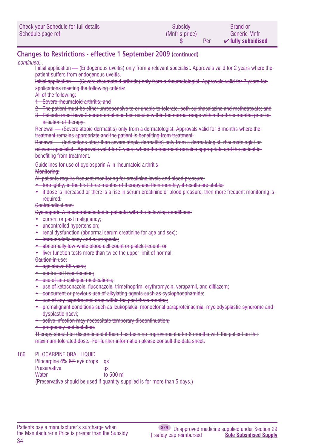| Check your Schedule for full details | Subsidy        | <b>Brand or</b>               |
|--------------------------------------|----------------|-------------------------------|
| Schedule page ref                    | (Mnfr's price) | <b>Generic Mnfr</b>           |
|                                      | Per            | $\mathcal V$ fully subsidised |

### **Changes to Restrictions - effective 1 September 2009 (continued)**

#### *continued...*

Initial application — (Endogenous uveitis) only from a relevant specialist. Approvals valid for 2 years where the patient suffers from endogenous uveitis.

Initial application — (Severe rheumatoid arthritis) only from a rheumatologist. Approvals valid for 2 years for applications meeting the following criteria:

- All of the following:
- 1 Severe rheumatoid arthritis; and
- 2 The patient must be either unresponsive to or unable to tolerate, both sulphasalazine and methotrexate; and
- 3 Patients must have 2 serum creatinine test results within the normal range within the three months prior to initiation of therapy.

Renewal — (Severe atopic dermatitis) only from a dermatologist. Approvals valid for 6 months where the treatment remains appropriate and the patient is benefiting from treatment.

Renewal — (Indications other than severe atopic dermatitis) only from a dermatologist, rheumatologist or relevant specialist. Approvals valid for 2 years where the treatment remains appropriate and the patient is benefiting from treatment.

Guidelines for use of cyclosporin A in rheumatoid arthritis

Monitoring:

- All patients require frequent monitoring for creatinine levels and blood pressure:
- fortnightly, in the first three months of therapy and then monthly, if results are stable;
- if dose is increased or there is a rise in serum creatinine or blood pressure, then more frequent monitoring is required.

Contraindications:

Cyclosporin A is contraindicated in patients with the following conditions:

- current or past malignancy;
- uncontrolled hypertension;
- renal dysfunction (abnormal serum creatinine for age and sex);
- immunodeficiency and neutropenia:
- abnormally low white blood cell count or platelet count; or
- liver function tests more than twice the upper limit of normal.

Caution in use:

- age above 65 years;
- controlled hypertension;
- use of anti-epileptic medications;
- use of ketoconazole, fluconazole, trimethoprim, erythromycin, verapamil, and diltiazem;
- concurrent or previous use of alkylating agents such as cyclophosphamide;
- use of any experimental drug within the past three months;
- premalignant conditions such as leukoplakia, monoclonal paraproteinaemia, myelodysplastic syndrome and dysplastic naevi;
- active infection may necessitate temporary discontinuation;
- pregnancy and lactation.

Therapy should be discontinued if there has been no improvement after 6 months with the patient on the maximum tolerated dose. For further information please consult the data sheet.

166 PILOCARPINE ORAL LIQUID

Pilocarpine **4% 6%** eye drops qs Preservative qs Water to 500 ml (Preservative should be used if quantity supplied is for more than 5 days.)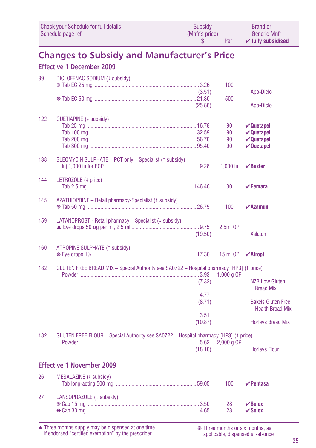|     | <b>Check your Schedule for full details</b><br>Schedule page ref                         | Subsidy<br>(Mnfr's price)<br>S | Per                  | <b>Brand or</b><br><b>Generic Mnfr</b><br>$\checkmark$ fully subsidised                                      |
|-----|------------------------------------------------------------------------------------------|--------------------------------|----------------------|--------------------------------------------------------------------------------------------------------------|
|     | <b>Changes to Subsidy and Manufacturer's Price</b><br><b>Effective 1 December 2009</b>   |                                |                      |                                                                                                              |
| 99  | DICLOFENAC SODIUM (4 subsidy)                                                            | (3.51)                         | 100                  | Apo-Diclo                                                                                                    |
|     |                                                                                          | (25.88)                        | 500                  | Apo-Diclo                                                                                                    |
| 122 | QUETIAPINE (+ subsidy)                                                                   |                                | 90<br>90<br>90<br>90 | $\boldsymbol{\nu}$ Quetapel<br>$\boldsymbol{\nu}$ Quetapel<br>$\boldsymbol{\nu}$ Quetapel<br>$\vee$ Quetapel |
| 138 | BLEOMYCIN SULPHATE - PCT only - Specialist († subsidy)                                   |                                | $1,000$ iu           | $\boldsymbol{\mathsf{V}}$ Baxter                                                                             |
| 144 | LETROZOLE (4 price)                                                                      |                                | 30                   | $\checkmark$ Femara                                                                                          |
| 145 | AZATHIOPRINE - Retail pharmacy-Specialist († subsidy)                                    |                                | 100                  | $\boldsymbol{\checkmark}$ Azamun                                                                             |
| 159 | LATANOPROST - Retail pharmacy - Specialist (# subsidy)                                   | (19.50)                        | $2.5ml$ OP           | <b>Xalatan</b>                                                                                               |
| 160 | <b>ATROPINE SULPHATE (1 subsidy)</b>                                                     |                                | 15 ml OP             | $\boldsymbol{\checkmark}$ Atropt                                                                             |
| 182 | GLUTEN FREE BREAD MIX - Special Authority see SA0722 - Hospital pharmacy [HP3] (1 price) |                                | 1,000 g OP           |                                                                                                              |
|     |                                                                                          | (7.32)<br>4.77                 |                      | <b>NZB Low Gluten</b><br><b>Bread Mix</b>                                                                    |
|     |                                                                                          | (8.71)                         |                      | <b>Bakels Gluten Free</b><br><b>Health Bread Mix</b>                                                         |
|     |                                                                                          | 3.51<br>(10.87)                |                      | <b>Horleys Bread Mix</b>                                                                                     |
| 182 | GLUTEN FREE FLOUR - Special Authority see SA0722 - Hospital pharmacy [HP3] († price)     | (18.10)                        | $2,000$ g OP         | <b>Horleys Flour</b>                                                                                         |
|     | <b>Effective 1 November 2009</b>                                                         |                                |                      |                                                                                                              |
| 26  | MESALAZINE (+ subsidy)                                                                   |                                | 100                  | $\vee$ Pentasa                                                                                               |
| 27  | LANSOPRAZOLE (+ subsidy)                                                                 |                                | 28<br>28             | $\vee$ Solox<br>$\vee$ Solox                                                                                 |

Three months supply may be dispensed at one time if endorsed "certified exemption" by the prescriber. ▲ ❋ Three months or six months, as

applicable, dispensed all-at-once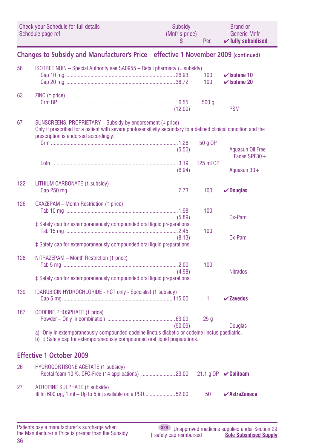|     | <b>Check your Schedule for full details</b><br>Schedule page ref                                                                                                                                                       | Subsidy<br>(Mnfr's price)<br>\$ | Per              | <b>Brand or</b><br><b>Generic Mnfr</b><br>$\checkmark$ fully subsidised |
|-----|------------------------------------------------------------------------------------------------------------------------------------------------------------------------------------------------------------------------|---------------------------------|------------------|-------------------------------------------------------------------------|
|     | Changes to Subsidy and Manufacturer's Price - effective 1 November 2009 (continued)                                                                                                                                    |                                 |                  |                                                                         |
| 58  | $ISOTRETIMON - Special Authority$ see SA0955 - Retail pharmacy ( $\downarrow$ subsidy)                                                                                                                                 |                                 | 100<br>100       | $\checkmark$ Isotane 10<br>$\checkmark$ Isotane 20                      |
| 63  | ZINC († price)                                                                                                                                                                                                         | (12.00)                         | 500 <sub>g</sub> | <b>PSM</b>                                                              |
| 67  | SUNSCREENS, PROPRIETARY - Subsidy by endorsement (# price)<br>Only if prescribed for a patient with severe photosensitivity secondary to a defined clinical condition and the<br>prescription is endorsed accordingly. |                                 |                  |                                                                         |
|     |                                                                                                                                                                                                                        | (5.50)                          | 50 g OP          | Aguasun Oil Free<br>Faces SPF30+                                        |
|     |                                                                                                                                                                                                                        | (6.94)                          | 125 ml OP        | Aguasun $30+$                                                           |
| 122 | LITHIUM CARBONATE (1 subsidy)                                                                                                                                                                                          |                                 | 100              | $\nu$ Douglas                                                           |
| 126 | <b>OXAZEPAM - Month Restriction († price)</b><br>‡ Safety cap for extemporaneously compounded oral liquid preparations.                                                                                                | (5.89)                          | 100              | $0x$ -Pam                                                               |
|     | ‡ Safety cap for extemporaneously compounded oral liquid preparations.                                                                                                                                                 | (8.13)                          | 100              | $0x$ -Pam                                                               |
| 128 | NITRAZEPAM - Month Restriction († price)<br>‡ Safety cap for extemporaneously compounded oral liquid preparations.                                                                                                     | (4.98)                          | 100              | <b>Nitrados</b>                                                         |
| 139 | <b>IDARUBICIN HYDROCHLORIDE - PCT only - Specialist (1 subsidy)</b>                                                                                                                                                    |                                 | 1                | $\checkmark$ Zavedos                                                    |
| 167 | <b>CODEINE PHOSPHATE (1 price)</b>                                                                                                                                                                                     | (90.09)                         | 25 <sub>g</sub>  | <b>Douglas</b>                                                          |
|     | a) Only in extemporaneously compounded codeine linctus diabetic or codeine linctus paediatric.<br>b) $\ddagger$ Safety cap for extemporaneously compounded oral liquid preparations.                                   |                                 |                  |                                                                         |
|     | <b>Effective 1 October 2009</b>                                                                                                                                                                                        |                                 |                  |                                                                         |
| 26  | <b>HYDROCORTISONE ACETATE (1 subsidy)</b>                                                                                                                                                                              |                                 |                  |                                                                         |
| 27  | ATROPINE SULPHATE (1 subsidy)<br>* Inj 600 µg, 1 ml - Up to 5 inj available on a PS052.00                                                                                                                              |                                 | 50               | $\boldsymbol{\checkmark}$ AstraZeneca                                   |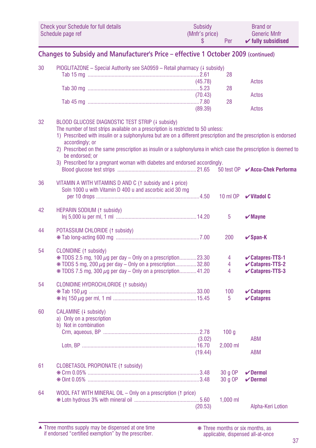| Check your Schedule for full details | Subsidy        | <b>Brand or</b>               |
|--------------------------------------|----------------|-------------------------------|
| Schedule page ref                    | (Mnfr's price) | <b>Generic Mnfr</b>           |
|                                      | Per            | $\checkmark$ fully subsidised |

## **Changes to Subsidy and Manufacturer's Price – effective 1 October 2009 (continued)**

| 30 | PIOGLITAZONE - Special Authority see SA0959 - Retail pharmacy (4 subsidy)                                          |         |            |                                        |
|----|--------------------------------------------------------------------------------------------------------------------|---------|------------|----------------------------------------|
|    |                                                                                                                    |         | 28         |                                        |
|    |                                                                                                                    | (45.78) |            | Actos                                  |
|    |                                                                                                                    |         | 28         |                                        |
|    |                                                                                                                    | (70.43) |            | Actos                                  |
|    |                                                                                                                    |         | 28         |                                        |
|    |                                                                                                                    | (89.39) |            | Actos                                  |
| 32 | BLOOD GLUCOSE DIAGNOSTIC TEST STRIP (4 subsidy)                                                                    |         |            |                                        |
|    | The number of test strips available on a prescription is restricted to 50 unless:                                  |         |            |                                        |
|    | 1) Prescribed with insulin or a sulphonylurea but are on a different prescription and the prescription is endorsed |         |            |                                        |
|    | accordingly; or                                                                                                    |         |            |                                        |
|    | 2) Prescribed on the same prescription as insulin or a sulphonylurea in which case the prescription is deemed to   |         |            |                                        |
|    | be endorsed: or                                                                                                    |         |            |                                        |
|    | 3) Prescribed for a pregnant woman with diabetes and endorsed accordingly.                                         |         |            |                                        |
|    |                                                                                                                    |         |            | 50 test OP <b>∠ Accu-Chek Performa</b> |
| 36 | VITAMIN A WITH VITAMINS D AND C ( $\uparrow$ subsidy and $\downarrow$ price)                                       |         |            |                                        |
|    | Soln 1000 u with Vitamin D 400 u and ascorbic acid 30 mg                                                           |         |            |                                        |
|    |                                                                                                                    |         | 10 ml OP   | $V$ Vitadol C                          |
|    |                                                                                                                    |         |            |                                        |
| 42 | <b>HEPARIN SODIUM (1 subsidy)</b>                                                                                  |         |            |                                        |
|    |                                                                                                                    |         | 5          | $\boldsymbol{\checkmark}$ Mayne        |
|    |                                                                                                                    |         |            |                                        |
| 44 | POTASSIUM CHLORIDE (1 subsidy)                                                                                     |         |            |                                        |
|    |                                                                                                                    |         | 200        | $\vee$ Span-K                          |
| 54 | CLONIDINE (1 subsidy)                                                                                              |         |            |                                        |
|    | $*$ TDDS 2.5 mg, 100 $\mu$ g per day - Only on a prescription23.30                                                 |         | 4          | $\vee$ Catapres-TTS-1                  |
|    | $*$ TDDS 5 mg, 200 $\mu$ g per day – Only on a prescription32.80                                                   |         | 4          | <b>∠Catapres-TTS-2</b>                 |
|    | *TDDS 7.5 mg, 300 µg per day - Only on a prescription 41.20                                                        |         | 4          | <b>∠Catapres-TTS-3</b>                 |
|    |                                                                                                                    |         |            |                                        |
| 54 | CLONIDINE HYDROCHLORIDE (1 subsidy)                                                                                |         |            |                                        |
|    |                                                                                                                    |         | 100        | $\mathbf{\triangleright}$ Catapres     |
|    |                                                                                                                    |         | 5          | $\mathbf{\triangleright}$ Catapres     |
| 60 | CALAMINE (+ subsidy)                                                                                               |         |            |                                        |
|    | a) Only on a prescription                                                                                          |         |            |                                        |
|    | b) Not in combination                                                                                              |         |            |                                        |
|    |                                                                                                                    |         | 100q       |                                        |
|    |                                                                                                                    | (3.02)  |            | <b>ABM</b>                             |
|    |                                                                                                                    |         | $2.000$ ml |                                        |
|    |                                                                                                                    | (19.44) |            | <b>ABM</b>                             |
|    |                                                                                                                    |         |            |                                        |
| 61 | CLOBETASOL PROPIONATE (1 subsidy)                                                                                  |         |            |                                        |
|    |                                                                                                                    |         | 30 a OP    | $\vee$ Dermol                          |
|    |                                                                                                                    |         | 30 a OP    | $\boldsymbol{\mathsf{v}}$ Dermol       |
| 64 | WOOL FAT WITH MINERAL OIL - Only on a prescription (1 price)                                                       |         |            |                                        |
|    |                                                                                                                    |         | $1.000$ ml |                                        |
|    |                                                                                                                    | (20.53) |            | Alpha-Keri Lotion                      |
|    |                                                                                                                    |         |            |                                        |

Three months supply may be dispensed at one time if endorsed "certified exemption" by the prescriber. ▲ ❋ Three months or six months, as

applicable, dispensed all-at-once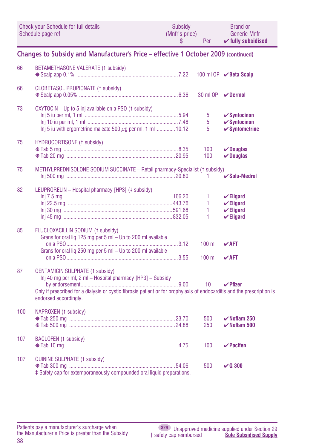|     | Check your Schedule for full details<br>Schedule page ref                                                                                                                                                                                                | Subsidy<br>(Mnfr's price)<br>\$. | Per                  | <b>Brand or</b><br><b>Generic Mnfr</b><br>$\checkmark$ fully subsidised               |
|-----|----------------------------------------------------------------------------------------------------------------------------------------------------------------------------------------------------------------------------------------------------------|----------------------------------|----------------------|---------------------------------------------------------------------------------------|
|     | Changes to Subsidy and Manufacturer's Price - effective 1 October 2009 (continued)                                                                                                                                                                       |                                  |                      |                                                                                       |
| 66  | BETAMETHASONE VALERATE (1 subsidy)                                                                                                                                                                                                                       |                                  |                      | 100 ml OP <b>∕Beta Scalp</b>                                                          |
| 66  | CLOBETASOL PROPIONATE (1 subsidy)                                                                                                                                                                                                                        |                                  | 30 ml OP             | $V$ Dermol                                                                            |
| 73  | OXYTOCIN - Up to 5 inj available on a PSO (1 subsidy)<br>Inj 5 iu with ergometrine maleate 500 $\mu$ g per ml, 1 ml  10.12                                                                                                                               |                                  | 5<br>5<br>5          | $\checkmark$ Syntocinon<br>$\checkmark$ Syntocinon<br>$\checkmark$ Syntometrine       |
| 75  | HYDROCORTISONE (1 subsidy)                                                                                                                                                                                                                               |                                  | 100<br>100           | $\vee$ Douglas<br>$\nu$ Douglas                                                       |
| 75  | METHYLPREDNISOLONE SODIUM SUCCINATE - Retail pharmacy-Specialist (1 subsidy)                                                                                                                                                                             |                                  | 1                    | $\boldsymbol{\checkmark}$ Solu-Medrol                                                 |
| 82  | LEUPRORELIN - Hospital pharmacy [HP3] (+ subsidy)                                                                                                                                                                                                        |                                  | 1<br>1<br>1<br>1     | $\checkmark$ Eligard<br>$\checkmark$ Eligard<br>$\checkmark$ Eligard<br>$\nu$ Eligard |
| 85  | FLUCLOXACILLIN SODIUM (1 subsidy)<br>Grans for oral liq 125 mg per 5 ml - Up to 200 ml available<br>Grans for oral liq 250 mg per 5 ml - Up to 200 ml available                                                                                          |                                  | $100$ ml<br>$100$ ml | $\sqrt{AFT}$<br>$V$ AFT                                                               |
| 87  | <b>GENTAMICIN SULPHATE (1 subsidy)</b><br>Inj 40 mg per ml, 2 ml - Hospital pharmacy [HP3] - Subsidy<br>Only if prescribed for a dialysis or cystic fibrosis patient or for prophylaxis of endocarditis and the prescription is<br>endorsed accordingly. |                                  | 10                   | $\vee$ Pfizer                                                                         |
| 100 | NAPROXEN (1 subsidy)                                                                                                                                                                                                                                     |                                  | 500<br>250           | $\checkmark$ Noflam 250<br>$\checkmark$ Noflam 500                                    |
| 107 | BACLOFEN (1 subsidy)                                                                                                                                                                                                                                     |                                  | 100                  | $\vee$ Pacifen                                                                        |
| 107 | <b>QUININE SULPHATE (1 subsidy)</b><br>‡ Safety cap for extemporaneously compounded oral liquid preparations.                                                                                                                                            |                                  | 500                  | VQ300                                                                                 |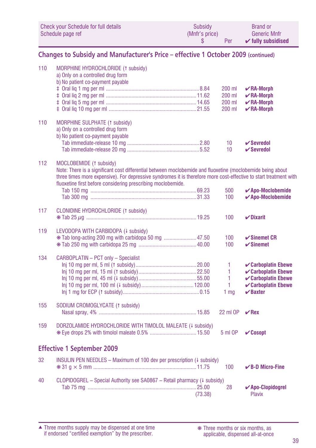| Check your Schedule for full details | Subsidy        | <b>Brand or</b>               |
|--------------------------------------|----------------|-------------------------------|
| Schedule page ref                    | (Mnfr's price) | <b>Generic Mnfr</b>           |
|                                      | Per            | $\checkmark$ fully subsidised |

### **Changes to Subsidy and Manufacturer's Price – effective 1 October 2009 (continued)**

| 110 | MORPHINE HYDROCHLORIDE (1 subsidy)<br>a) Only on a controlled drug form<br>b) No patient co-payment payable                                                                                                                                                                                                                |         | 200 ml<br>200 ml<br>200 ml<br>200 ml | $\nu$ RA-Morph<br>$\nu$ RA-Morph<br>$\nu$ RA-Morph<br>$\nu$ RA-Morph                                                 |
|-----|----------------------------------------------------------------------------------------------------------------------------------------------------------------------------------------------------------------------------------------------------------------------------------------------------------------------------|---------|--------------------------------------|----------------------------------------------------------------------------------------------------------------------|
| 110 | <b>MORPHINE SULPHATE (1 subsidy)</b><br>a) Only on a controlled drug form<br>b) No patient co-payment payable                                                                                                                                                                                                              |         | 10                                   | $\boldsymbol{\mathsf{v}}$ Sevredol                                                                                   |
|     |                                                                                                                                                                                                                                                                                                                            |         | 10                                   | $\checkmark$ Sevredol                                                                                                |
| 112 | MOCLOBEMIDE (1 subsidy)<br>Note: There is a significant cost differential between moclobemide and fluoxetine (moclobemide being about<br>three times more expensive). For depressive syndromes it is therefore more cost-effective to start treatment with<br>fluoxetine first before considering prescribing moclobemide. |         | 500<br>100                           | $\boldsymbol{\checkmark}$ Apo-Moclobemide<br>$\boldsymbol{\checkmark}$ Apo-Moclobemide                               |
| 117 | CLONIDINE HYDROCHLORIDE (1 subsidy)                                                                                                                                                                                                                                                                                        |         | 100                                  | $\nu$ Dixarit                                                                                                        |
| 119 | LEVODOPA WITH CARBIDOPA (+ subsidy)                                                                                                                                                                                                                                                                                        |         | 100<br>100                           | $\checkmark$ Sinemet CR<br>$\checkmark$ Sinemet                                                                      |
| 134 | CARBOPLATIN - PCT only - Specialist                                                                                                                                                                                                                                                                                        |         | 1<br>1<br>1<br>1<br>1 <sub>mq</sub>  | ✔ Carboplatin Ebewe<br>✔ Carboplatin Ebewe<br>$\checkmark$ Carboplatin Ebewe<br>✔ Carboplatin Ebewe<br>$\vee$ Baxter |
| 155 | SODIUM CROMOGLYCATE (1 subsidy)                                                                                                                                                                                                                                                                                            |         | 22 ml OP                             | $\vee$ Rex                                                                                                           |
| 159 | DORZOLAMIDE HYDROCHLORIDE WITH TIMOLOL MALEATE (+ subsidy)                                                                                                                                                                                                                                                                 |         | 5 ml OP                              | $\mathcal{C}$ Cosopt                                                                                                 |
|     | <b>Effective 1 September 2009</b>                                                                                                                                                                                                                                                                                          |         |                                      |                                                                                                                      |
| 32  | INSULIN PEN NEEDLES - Maximum of 100 dev per prescription (4 subsidy)                                                                                                                                                                                                                                                      |         | 100                                  | $\vee$ B-D Micro-Fine                                                                                                |
| 40  | CLOPIDOGREL - Special Authority see SA0867 - Retail pharmacy (4 subsidy)                                                                                                                                                                                                                                                   | (73.38) | 28                                   | √ Apo-Clopidogrel<br><b>Plavix</b>                                                                                   |

Three months supply may be dispensed at one time if endorsed "certified exemption" by the prescriber. ▲ ❋ Three months or six months, as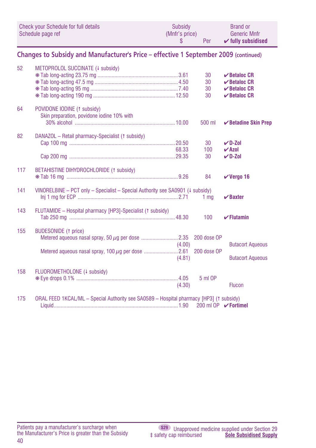|     | <b>Check your Schedule for full details</b><br>Schedule page ref                        | Subsidy<br>(Mnfr's price)<br>\$ | Per                        | <b>Brand or</b><br><b>Generic Mnfr</b><br>$\checkmark$ fully subsidised |
|-----|-----------------------------------------------------------------------------------------|---------------------------------|----------------------------|-------------------------------------------------------------------------|
|     | Changes to Subsidy and Manufacturer's Price - effective 1 September 2009 (continued)    |                                 |                            |                                                                         |
| 52  | METOPROLOL SUCCINATE (4 subsidy)                                                        |                                 |                            |                                                                         |
|     |                                                                                         |                                 | 30                         | $\vee$ Betaloc CR                                                       |
|     |                                                                                         |                                 | 30                         | $\boldsymbol{\checkmark}$ Betaloc CR                                    |
|     |                                                                                         |                                 | 30                         | $\vee$ Betaloc CR                                                       |
|     |                                                                                         |                                 | 30                         | $\vee$ Betaloc CR                                                       |
| 64  | POVIDONE IODINE (1 subsidy)<br>Skin preparation, povidone iodine 10% with               |                                 |                            |                                                                         |
|     |                                                                                         |                                 | 500 ml                     | <b>∕Betadine Skin Prep</b>                                              |
| 82  | DANAZOL - Retail pharmacy-Specialist († subsidy)                                        |                                 |                            |                                                                         |
|     |                                                                                         |                                 | 30                         | $V$ D-Zol                                                               |
|     |                                                                                         | 68.33                           | 100                        | $\vee$ Azol                                                             |
|     |                                                                                         |                                 | 30                         | $\nu$ D-Zol                                                             |
| 117 | BETAHISTINE DIHYDROCHLORIDE (1 subsidy)                                                 |                                 | 84                         | $V$ Vergo 16                                                            |
|     |                                                                                         |                                 |                            |                                                                         |
| 141 | VINORELBINE - PCT only - Specialist - Special Authority see SA0901 (4 subsidy)          |                                 |                            |                                                                         |
|     |                                                                                         |                                 | 1 <sub>mq</sub>            | $\vee$ Baxter                                                           |
| 143 | FLUTAMIDE - Hospital pharmacy [HP3]-Specialist († subsidy)                              |                                 |                            |                                                                         |
|     |                                                                                         |                                 | 100                        | $\checkmark$ Flutamin                                                   |
| 155 | <b>BUDESONIDE (1 price)</b>                                                             |                                 |                            |                                                                         |
|     |                                                                                         |                                 | 200 dose OP                |                                                                         |
|     |                                                                                         | (4.00)                          |                            | <b>Butacort Aqueous</b>                                                 |
|     |                                                                                         |                                 | 200 dose OP                |                                                                         |
|     |                                                                                         | (4.81)                          |                            | <b>Butacort Aqueous</b>                                                 |
| 158 | FLUOROMETHOLONE (4 subsidy)                                                             |                                 |                            |                                                                         |
|     |                                                                                         |                                 | 5 ml OP                    |                                                                         |
|     |                                                                                         | (4.30)                          |                            | Flucon                                                                  |
| 175 | ORAL FEED 1KCAL/ML - Special Authority see SA0589 - Hospital pharmacy [HP3] († subsidy) |                                 |                            |                                                                         |
|     |                                                                                         |                                 | 200 ml OP <b>∕Fortimel</b> |                                                                         |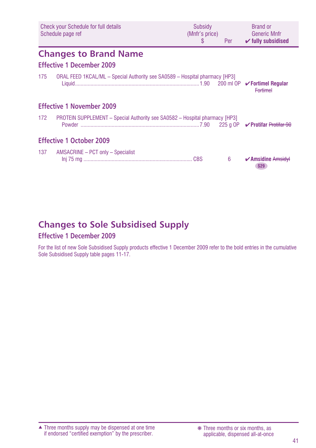|     | <b>Check your Schedule for full details</b><br>Schedule page ref                   | Subsidy<br>(Mnfr's price)<br><sup>\$</sup> | Per | <b>Brand or</b><br>Generic Mnfr<br>$\checkmark$ fully subsidised |
|-----|------------------------------------------------------------------------------------|--------------------------------------------|-----|------------------------------------------------------------------|
|     | <b>Changes to Brand Name</b><br>Effective 1 December 2009                          |                                            |     |                                                                  |
| 175 | ORAL FEED 1KCAL/ML - Special Authority see SA0589 - Hospital pharmacy [HP3]        |                                            |     | <b>Fortimel</b>                                                  |
|     | <b>Effective 1 November 2009</b>                                                   |                                            |     |                                                                  |
| 172 | <b>PROTEIN SUPPLEMENT - Special Authority see SA0582 - Hospital pharmacy [HP3]</b> |                                            |     |                                                                  |
|     | <b>Effective 1 October 2009</b>                                                    |                                            |     |                                                                  |
| 137 | AMSACRINE - PCT only - Specialist                                                  |                                            | 6   | $\sqrt{2}$ Amsidine Amsidyl<br><b>S29</b>                        |

## **Changes to Sole Subsidised Supply**

## **Effective 1 December 2009**

For the list of new Sole Subsidised Supply products effective 1 December 2009 refer to the bold entries in the cumulative Sole Subsidised Supply table pages 11-17.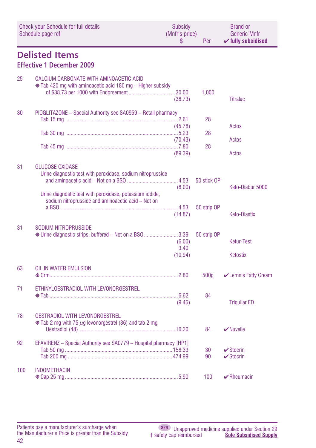|     | Check your Schedule for full details<br>Schedule page ref                                                                                                                                               | Subsidy<br>(Mnfr's price)<br>\$ | Per                        | <b>Brand or</b><br><b>Generic Mnfr</b><br>$\checkmark$ fully subsidised |
|-----|---------------------------------------------------------------------------------------------------------------------------------------------------------------------------------------------------------|---------------------------------|----------------------------|-------------------------------------------------------------------------|
|     | <b>Delisted Items</b>                                                                                                                                                                                   |                                 |                            |                                                                         |
|     | <b>Effective 1 December 2009</b>                                                                                                                                                                        |                                 |                            |                                                                         |
| 25  | CALCIUM CARBONATE WITH AMINOACETIC ACID<br>* Tab 420 mg with aminoacetic acid 180 mg – Higher subsidy                                                                                                   | (38.73)                         | 1,000                      | <b>Titralac</b>                                                         |
| 30  | PIOGLITAZONE - Special Authority see SA0959 - Retail pharmacy                                                                                                                                           |                                 |                            |                                                                         |
|     |                                                                                                                                                                                                         |                                 | 28                         |                                                                         |
|     |                                                                                                                                                                                                         | (45.78)                         |                            | Actos                                                                   |
|     |                                                                                                                                                                                                         |                                 | 28                         |                                                                         |
|     |                                                                                                                                                                                                         | (70.43)                         |                            | Actos                                                                   |
|     |                                                                                                                                                                                                         | (89.39)                         | 28                         | Actos                                                                   |
| 31  | <b>GLUCOSE OXIDASE</b><br>Urine diagnostic test with peroxidase, sodium nitroprusside<br>Urine diagnostic test with peroxidase, potassium iodide,<br>sodium nitroprusside and aminoacetic acid - Not on | (8.00)                          | 50 stick OP<br>50 strip OP | Keto-Diabur 5000                                                        |
|     |                                                                                                                                                                                                         | (14.87)                         |                            | <b>Keto-Diastix</b>                                                     |
| 31  | SODIUM NITROPRUSSIDE<br>* Urine diagnostic strips, buffered – Not on a BSO 3.39                                                                                                                         | (6.00)<br>3.40<br>(10.94)       | 50 strip OP                | <b>Ketur-Test</b><br>Ketostix                                           |
| 63  | OIL IN WATER EMULSION                                                                                                                                                                                   |                                 |                            |                                                                         |
|     |                                                                                                                                                                                                         |                                 | 500q                       | <b>∠</b> Lemnis Fatty Cream                                             |
| 71  | ETHINYLOESTRADIOL WITH LEVONORGESTREL                                                                                                                                                                   | (9.45)                          | 84                         | <b>Triquilar ED</b>                                                     |
| 78  | <b>OESTRADIOL WITH LEVONORGESTREL</b><br>$*$ Tab 2 mg with 75 $\mu$ g levonorgestrel (36) and tab 2 mg                                                                                                  |                                 | 84                         | $\vee$ Nuvelle                                                          |
| 92  | EFAVIRENZ - Special Authority see SA0779 - Hospital pharmacy [HP1]                                                                                                                                      |                                 |                            |                                                                         |
|     |                                                                                                                                                                                                         |                                 | 30<br>90                   | $\vee$ Stocrin<br>$\checkmark$ Stocrin                                  |
|     |                                                                                                                                                                                                         |                                 |                            |                                                                         |
| 100 | <b>INDOMETHACIN</b>                                                                                                                                                                                     |                                 | 100                        | $\blacktriangleright$ Rheumacin                                         |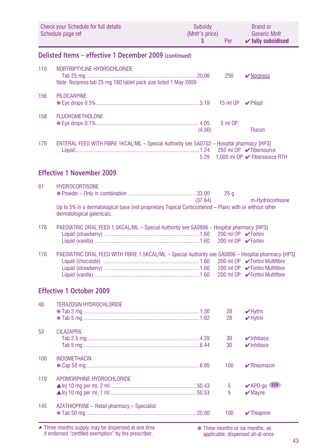|     | <b>Check your Schedule for full details</b><br>Schedule page ref                                                                       | <b>Subsidy</b><br>(Mnfr's price)<br>S | Per                                        | <b>Brand or</b><br><b>Generic Mnfr</b><br>$\checkmark$ fully subsidised |
|-----|----------------------------------------------------------------------------------------------------------------------------------------|---------------------------------------|--------------------------------------------|-------------------------------------------------------------------------|
|     | Delisted Items - effective 1 December 2009 (continued)                                                                                 |                                       |                                            |                                                                         |
| 110 | NORTRIPTYLINE HYDROCHLORIDE<br>Note: Norpress tab 25 mg 180 tablet pack size listed 1 May 2009                                         |                                       | 250                                        | <b>V</b> Norpress                                                       |
| 156 | <b>PILOCARPINE</b>                                                                                                                     |                                       | 15 ml OP                                   | $\vee$ Pilopt                                                           |
| 158 | <b>FLUOROMETHOLONE</b>                                                                                                                 | (4.30)                                | 5 ml OP                                    | <b>Flucon</b>                                                           |
| 176 | ENTERAL FEED WITH FIBRE 1KCAL/ML - Special Authority see SA0702 - Hospital pharmacy [HP3]                                              | 5.29                                  |                                            | 250 ml OP <b>V</b> Fibersource<br>1,000 ml OP ✔ Fibersource RTH         |
|     | <b>Effective 1 November 2009</b>                                                                                                       |                                       |                                            |                                                                         |
| 61  | <b>HYDROCORTISONE</b>                                                                                                                  | (37.64)                               | 25q                                        | m-Hydrocortisone                                                        |
|     | Up to 5% in a dermatological base (not proprietary Topical Corticosteriod - Plain) with or without other<br>dermatological galenicals. |                                       |                                            |                                                                         |
| 176 | PAEDIATRIC ORAL FEED 1.5KCAL/ML - Special Authority see SA0896 - Hospital pharmacy [HP3]                                               |                                       | 200 ml OP ✔ Fortini<br>200 ml OP ✔ Fortini |                                                                         |
| 176 | PAEDIATRIC ORAL FEED WITH FIBRE 1.5KCAL/ML - Special Authority see SA0896 - Hospital pharmacy [HP3]                                    |                                       |                                            |                                                                         |
|     | <b>Effective 1 October 2009</b>                                                                                                        |                                       |                                            |                                                                         |
| 48  | <b>TERAZOSIN HYDROCHLORIDE</b>                                                                                                         |                                       | 28<br>28                                   | $\nu$ Hytrin<br>$\blacktriangleright$ Hytrin                            |
| 53  | <b>CILAZAPRIL</b>                                                                                                                      |                                       | 30<br>30                                   | $\nu$ Inhibace<br>$\nu$ Inhibace                                        |
| 100 | <b>INDOMETHACIN</b>                                                                                                                    |                                       | 100                                        | $\blacktriangleright$ Rheumacin                                         |
| 119 | APOMORPHINE HYDROCHLORIDE                                                                                                              |                                       | 5<br>5                                     | $V$ APO-go \$29<br>$\blacktriangleright$ Mayne                          |
| 145 | AZATHIOPRINE - Retail pharmacy - Specialist                                                                                            |                                       | 100                                        | $\sqrt{\ }$ Thioprine                                                   |

Three months supply may be dispensed at one time if endorsed "certified exemption" by the prescriber. ▲ ❋ Three months or six months, as

applicable, dispensed all-at-once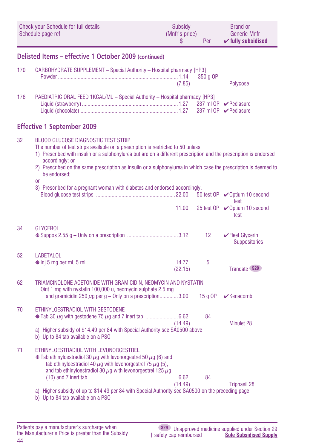| Check your Schedule for full details | Subsidy        | <b>Brand or</b>               |
|--------------------------------------|----------------|-------------------------------|
| Schedule page ref                    | (Mnfr's price) | <b>Generic Mnfr</b>           |
|                                      | Per            | $\checkmark$ fully subsidised |

### **Delisted Items – effective 1 October 2009 (continued)**

| 170                               | <b>CARBOHYDRATE SUPPLEMENT - Special Authority - Hospital pharmacy [HP3]</b><br>(7.85) |  | Polycose |  |  |
|-----------------------------------|----------------------------------------------------------------------------------------|--|----------|--|--|
| 176                               | PAEDIATRIC ORAL FEED 1KCAL/ML - Special Authority - Hospital pharmacy [HP3]            |  |          |  |  |
| <b>Effective 1 September 2009</b> |                                                                                        |  |          |  |  |

### 32 BLOOD GLUCOSE DIAGNOSTIC TEST STRIP The number of test strips available on a prescription is restricted to 50 unless: 1) Prescribed with insulin or a sulphonylurea but are on a different prescription and the prescription is endorsed accordingly; or 2) Prescribed on the same prescription as insulin or a sulphonylurea in which case the prescription is deemed to be endorsed; or 3) Prescribed for a pregnant woman with diabetes and endorsed accordingly. Blood glucose test strips ........................................................22.00 50 test OP ✔Optium 10 second test and the state of the state of the state of the state of the state of the state of the state of the state 11.00  $25$  test OP  $\sqrt{0}$  Ontium 10 second test and the state of the state of the state of the state of the state of the state of the state of the state 34 GLYCEROL ❋ Suppos 2.55 g – Only on a prescription ....................................3.12 12 ✔Fleet Glycerin **Suppositories** 52 LABETALOL ❋ Inj 5 mg per ml, 5 ml ..............................................................14.77 5 (22.15) Trandate **S29** 62 TRIAMCINOLONE ACETONIDE WITH GRAMICIDIN, NEOMYCIN AND NYSTATIN Oint 1 mg with nystatin 100,000 u, neomycin sulphate 2.5 mg and gramicidin 250  $\mu$ g per g – Only on a prescription..............3.00 15 g OP  $\blacktriangleright$  Kenacomb 70 ETHINYLOESTRADIOL WITH GESTODENE  $\textast$  Tab 30  $\mu$ g with gestodene 75  $\mu$ g and 7 inert tab ................................6.62 84 (14.49) Minulet 28 a) Higher subsidy of \$14.49 per 84 with Special Authority see SA0500 above b) Up to 84 tab available on a PSO 71 ETHINYLOESTRADIOL WITH LEVONORGESTREL  $*$  Tab ethinyloestradiol 30  $\mu$ g with levonorgestrel 50  $\mu$ g (6) and tab ethinyloestradiol 40  $\mu$ q with levonorgestrel 75  $\mu$ q (5), and tab ethinyloestradiol 30  $\mu$ g with levonorgestrel 125  $\mu$ g (10) and 7 inert tab ...............................................................6.62 84 (14.49) Triphasil 28 a) Higher subsidy of up to \$14.49 per 84 with Special Authority see SA0500 on the preceding page b) Up to 84 tab available on a PSO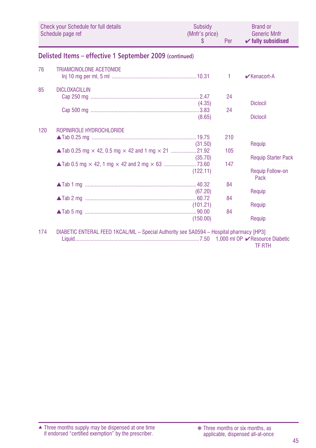|     | <b>Check your Schedule for full details</b><br>Schedule page ref                        | Subsidy<br>(Mnfr's price)<br>S | Per | <b>Brand or</b><br><b>Generic Mnfr</b><br>$\checkmark$ fully subsidised |
|-----|-----------------------------------------------------------------------------------------|--------------------------------|-----|-------------------------------------------------------------------------|
|     | Delisted Items - effective 1 September 2009 (continued)                                 |                                |     |                                                                         |
| 76  | TRIAMCINOLONE ACETONIDE                                                                 |                                | 1   | $\mathbf{\nabla}$ Kenacort-A                                            |
| 85  | <b>DICLOXACILLIN</b>                                                                    |                                | 24  |                                                                         |
|     |                                                                                         | (4.35)<br>(8.65)               | 24  | <b>Diclocil</b><br><b>Diclocil</b>                                      |
| 120 | ROPINIROLE HYDROCHLORIDE                                                                |                                | 210 |                                                                         |
|     |                                                                                         | (31.50)                        | 105 | Requip                                                                  |
|     |                                                                                         | (35.70)                        | 147 | <b>Requip Starter Pack</b>                                              |
|     |                                                                                         | (122.11)                       |     | Requip Follow-on<br>Pack                                                |
|     |                                                                                         | (67.20)                        | 84  | Requip                                                                  |
|     |                                                                                         | (101.21)                       | 84  | Requip                                                                  |
|     |                                                                                         | (150.00)                       | 84  | Requip                                                                  |
| 174 | DIABETIC ENTERAL FEED 1KCAL/ML - Special Authority see SA0594 - Hospital pharmacy [HP3] |                                |     |                                                                         |

TF RTH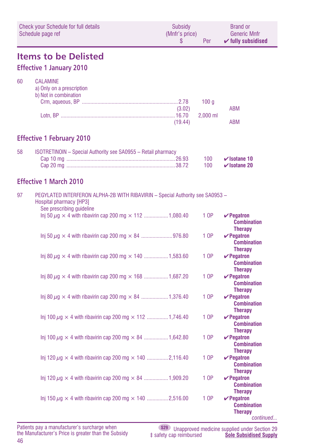|    | <b>Check your Schedule for full details</b><br>Schedule page ref                                                                      | Subsidy<br>(Mnfr's price)<br>\$ | Per                            | <b>Brand or</b><br><b>Generic Mnfr</b><br>$\checkmark$ fully subsidised |
|----|---------------------------------------------------------------------------------------------------------------------------------------|---------------------------------|--------------------------------|-------------------------------------------------------------------------|
|    | <b>Items to be Delisted</b><br><b>Effective 1 January 2010</b>                                                                        |                                 |                                |                                                                         |
| 60 | <b>CALAMINE</b><br>a) Only on a prescription<br>b) Not in combination                                                                 | (3.02)<br>(19.44)               | 100 <sub>g</sub><br>$2,000$ ml | <b>ABM</b><br><b>ABM</b>                                                |
|    | <b>Effective 1 February 2010</b>                                                                                                      |                                 |                                |                                                                         |
| 58 | ISOTRETINOIN - Special Authority see SA0955 - Retail pharmacy                                                                         |                                 | 100<br>100                     | $\checkmark$ Isotane 10<br>$\checkmark$ Isotane 20                      |
|    | <b>Effective 1 March 2010</b>                                                                                                         |                                 |                                |                                                                         |
| 97 | PEGYLATED INTERFERON ALPHA-2B WITH RIBAVIRIN - Special Authority see SA0953 -<br>Hospital pharmacy [HP3]<br>See prescribing guideline |                                 |                                |                                                                         |
|    | lnj 50 $\mu$ g $\times$ 4 with ribavirin cap 200 mg $\times$ 112  1,080.40                                                            |                                 | 1 OP                           | $\vee$ Pegatron<br><b>Combination</b><br><b>Therapy</b>                 |
|    |                                                                                                                                       |                                 | 1 OP                           | $\vee$ Pegatron<br><b>Combination</b><br><b>Therapy</b>                 |
|    | lnj 80 $\mu$ g $\times$ 4 with ribavirin cap 200 mg $\times$ 140 1,583.60                                                             |                                 | 1 OP                           | $\vee$ Pegatron<br><b>Combination</b><br><b>Therapy</b>                 |
|    | Inj 80 $\mu$ g $\times$ 4 with ribavirin cap 200 mg $\times$ 168 1,687.20                                                             |                                 | 1 OP                           | $\vee$ Pegatron<br><b>Combination</b><br><b>Therapy</b>                 |
|    | lnj 80 $\mu$ g $\times$ 4 with ribavirin cap 200 mg $\times$ 84 1,376.40                                                              |                                 | 1 OP                           | $\vee$ Pegatron<br><b>Combination</b><br><b>Therapy</b>                 |
|    | Inj 100 $\mu$ g $\times$ 4 with ribavirin cap 200 mg $\times$ 112 1,746.40                                                            |                                 | 1 OP                           | $\vee$ Pegatron<br><b>Combination</b><br><b>Therapy</b>                 |
|    | Inj 100 $\mu$ g $\times$ 4 with ribavirin cap 200 mg $\times$ 84 1,642.80                                                             |                                 | 1 OP                           | $\vee$ Pegatron<br><b>Combination</b><br><b>Therapy</b>                 |
|    | Inj 120 $\mu$ g $\times$ 4 with ribavirin cap 200 mg $\times$ 140                                                                     | 2,116.40                        | 1 OP                           | $\vee$ Pegatron<br><b>Combination</b><br><b>Therapy</b>                 |
|    | Inj 120 $\mu$ g $\times$ 4 with ribavirin cap 200 mg $\times$ 84 1,909.20                                                             |                                 | 1 OP                           | $\nu$ Pegatron<br><b>Combination</b><br><b>Therapy</b>                  |
|    | Inj 150 $\mu$ g $\times$ 4 with ribavirin cap 200 mg $\times$ 140 2,516.00                                                            |                                 | 1 OP                           | $\vee$ Pegatron<br><b>Combination</b><br><b>Therapy</b><br>continued    |

46 Patients pay a manufacturer's surcharge when the Manufacturer's Price is greater than the Subsidy

**S29** Unapproved medicine supplied under Section 29 ‡ safety cap reimbursed **Sole Subsidised Supply**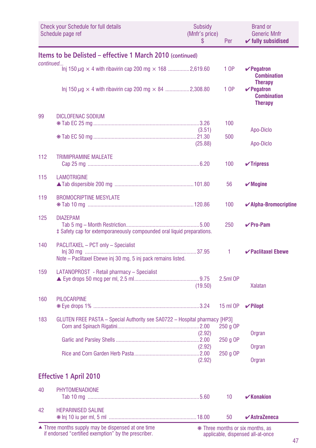|           | <b>Check your Schedule for full details</b><br>Schedule page ref                                    | Subsidy<br>(Mnfr's price)<br>S | Per        | <b>Brand or</b><br><b>Generic Mnfr</b><br>$\checkmark$ fully subsidised   |
|-----------|-----------------------------------------------------------------------------------------------------|--------------------------------|------------|---------------------------------------------------------------------------|
|           | Items to be Delisted - effective 1 March 2010 (continued)                                           |                                |            |                                                                           |
| continued | Inj 150 $\mu$ g $\times$ 4 with ribavirin cap 200 mg $\times$ 168 2,619.60                          |                                | 1 OP       | $\vee$ Pegatron<br><b>Combination</b>                                     |
|           |                                                                                                     |                                | 1 OP       | <b>Therapy</b><br>$\vee$ Pegatron<br><b>Combination</b><br><b>Therapy</b> |
| 99        | <b>DICLOFENAC SODIUM</b>                                                                            |                                | 100        |                                                                           |
|           |                                                                                                     | (3.51)<br>(25.88)              | 500        | Apo-Diclo<br>Apo-Diclo                                                    |
| 112       | <b>TRIMIPRAMINE MALEATE</b>                                                                         |                                | 100        | $\checkmark$ Tripress                                                     |
| 115       | <b>LAMOTRIGINE</b>                                                                                  |                                | 56         | $\boldsymbol{\mathsf{v}}$ Mogine                                          |
| 119       | <b>BROMOCRIPTINE MESYLATE</b>                                                                       |                                | 100        | $\blacktriangleright$ Alpha-Bromocriptine                                 |
| 125       | <b>DIAZEPAM</b><br>‡ Safety cap for extemporaneously compounded oral liquid preparations.           |                                | 250        | $\vee$ Pro-Pam                                                            |
| 140       | PACLITAXEL - PCT only - Specialist<br>Note - Paclitaxel Ebewe inj 30 mg, 5 inj pack remains listed. |                                | 1          | $\triangleright$ Paclitaxel Ebewe                                         |
| 159       | LATANOPROST - Retail pharmacy - Specialist                                                          | (19.50)                        | $2.5ml$ OP | <b>Xalatan</b>                                                            |
| 160       | <b>PILOCARPINE</b>                                                                                  |                                | 15 ml OP   | $\vee$ Pilopt                                                             |
| 183       | GLUTEN FREE PASTA - Special Authority see SA0722 - Hospital pharmacy [HP3]                          | (2.92)                         | 250 g OP   | Orgran                                                                    |
|           |                                                                                                     | (2.92)                         | 250 g OP   | Orgran                                                                    |
|           |                                                                                                     | (2.92)                         | 250 g OP   | Orgran                                                                    |
|           | <b>Effective 1 April 2010</b>                                                                       |                                |            |                                                                           |
| 40        | <b>PHYTOMENADIONE</b>                                                                               |                                | 10         | $\mathbf{v}$ Konakion                                                     |
| 42        | <b>HEPARINISED SALINE</b>                                                                           |                                | 50         | $\boldsymbol{\checkmark}$ AstraZeneca                                     |

Three months supply may be dispensed at one time if endorsed "certified exemption" by the prescriber. ▲ ❋ Three months or six months, as

applicable, dispensed all-at-once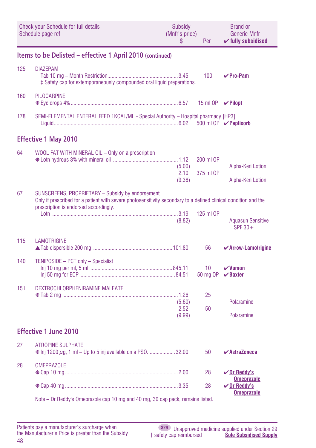|     | <b>Check your Schedule for full details</b><br>Schedule page ref                                                                                                                                             | <b>Subsidy</b><br>(Mnfr's price)<br>\$ | Per                         | <b>Brand or</b><br><b>Generic Mnfr</b><br>$\checkmark$ fully subsidised |
|-----|--------------------------------------------------------------------------------------------------------------------------------------------------------------------------------------------------------------|----------------------------------------|-----------------------------|-------------------------------------------------------------------------|
|     | Items to be Delisted - effective 1 April 2010 (continued)                                                                                                                                                    |                                        |                             |                                                                         |
| 125 | <b>DIAZEPAM</b><br>‡ Safety cap for extemporaneously compounded oral liquid preparations.                                                                                                                    |                                        | 100                         | $V$ Pro-Pam                                                             |
| 160 | <b>PILOCARPINE</b>                                                                                                                                                                                           |                                        | 15 ml OP                    | $\vee$ Pilopt                                                           |
| 178 | SEMI-ELEMENTAL ENTERAL FEED 1KCAL/ML - Special Authority - Hospital pharmacy [HP3]                                                                                                                           |                                        |                             | 500 ml OP <b>∕ Peptisorb</b>                                            |
|     | <b>Effective 1 May 2010</b>                                                                                                                                                                                  |                                        |                             |                                                                         |
| 64  | WOOL FAT WITH MINERAL OIL - Only on a prescription                                                                                                                                                           | (5.00)<br>2.10<br>(9.38)               | 200 ml OP<br>375 ml OP      | Alpha-Keri Lotion<br>Alpha-Keri Lotion                                  |
| 67  | SUNSCREENS, PROPRIETARY - Subsidy by endorsement<br>Only if prescribed for a patient with severe photosensitivity secondary to a defined clinical condition and the<br>prescription is endorsed accordingly. | (8.82)                                 | 125 ml OP                   | <b>Aquasun Sensitive</b><br>SPF 30+                                     |
| 115 | <b>LAMOTRIGINE</b>                                                                                                                                                                                           |                                        | 56                          | ✔ Arrow-Lamotrigine                                                     |
| 140 | TENIPOSIDE - PCT only - Specialist                                                                                                                                                                           |                                        | 10 <sup>°</sup><br>50 mg OP | $\boldsymbol{\nu}$ Vumon<br>$\vee$ Baxter                               |
| 151 | DEXTROCHLORPHENIRAMINE MALEATE                                                                                                                                                                               | (5.60)<br>2.52<br>(9.99)               | 25<br>50                    | Polaramine<br>Polaramine                                                |
|     | <b>Effective 1 June 2010</b>                                                                                                                                                                                 |                                        |                             |                                                                         |
| 27  | <b>ATROPINE SULPHATE</b><br>* Inj 1200 $\mu$ g, 1 ml – Up to 5 inj available on a PS032.00                                                                                                                   |                                        | 50                          | $\boldsymbol{\checkmark}$ AstraZeneca                                   |
| 28  | <b>OMEPRAZOLE</b>                                                                                                                                                                                            |                                        | 28                          | $\sqrt{D}$ r Reddy's                                                    |
|     |                                                                                                                                                                                                              |                                        | 28                          | <b>Omeprazole</b><br>$V$ Dr Reddy's                                     |
|     | Note - Dr Reddy's Omeprazole cap 10 mg and 40 mg, 30 cap pack, remains listed.                                                                                                                               |                                        |                             | <b>Omeprazole</b>                                                       |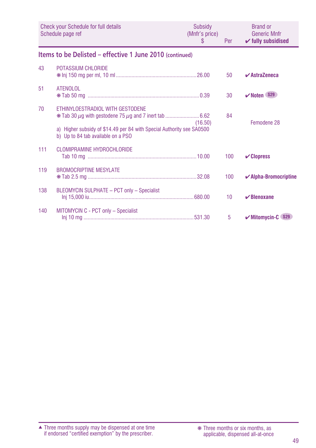|     | Check your Schedule for full details<br>Schedule page ref                                                                                       | Subsidy<br>(Mnfr's price)<br>S | Per | <b>Brand or</b><br><b>Generic Mnfr</b><br>$\checkmark$ fully subsidised |
|-----|-------------------------------------------------------------------------------------------------------------------------------------------------|--------------------------------|-----|-------------------------------------------------------------------------|
|     | Items to be Delisted - effective 1 June 2010 (continued)                                                                                        |                                |     |                                                                         |
| 43  | POTASSIUM CHLORIDE                                                                                                                              |                                | 50  | $\vee$ AstraZeneca                                                      |
| 51  | <b>ATENOLOL</b>                                                                                                                                 |                                | 30  | $\mathbf{V}$ Noten S29                                                  |
| 70  | ETHINYLOESTRADIOL WITH GESTODENE<br>a) Higher subsidy of \$14.49 per 84 with Special Authority see SA0500<br>b) Up to 84 tab available on a PSO | (16.50)                        | 84  | Femodene 28                                                             |
| 111 | <b>CLOMIPRAMINE HYDROCHLORIDE</b>                                                                                                               |                                | 100 | $\mathcal V$ Clopress                                                   |
| 119 | <b>BROMOCRIPTINE MESYLATE</b>                                                                                                                   |                                | 100 | $\blacktriangleright$ Alpha-Bromocriptine                               |
| 138 | BLEOMYCIN SULPHATE - PCT only - Specialist                                                                                                      |                                | 10  | $\mathbf{\nabla}$ Blenoxane                                             |
| 140 | MITOMYCIN C - PCT only - Specialist                                                                                                             |                                | 5   | $\mathcal V$ Mitomycin-C $$29$                                          |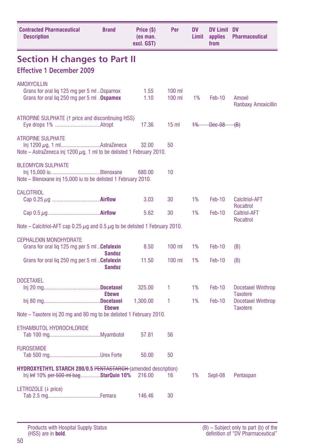| <b>Contracted Pharmaceutical</b><br><b>Description</b>                                                           | <b>Brand</b>  | Price (\$)<br>(ex man.<br>excl. GST) | Per                  | <b>DV</b><br>Limit | <b>DV Limit DV</b><br>applies<br>from | <b>Pharmaceutical</b>                        |
|------------------------------------------------------------------------------------------------------------------|---------------|--------------------------------------|----------------------|--------------------|---------------------------------------|----------------------------------------------|
| <b>Section H changes to Part II</b>                                                                              |               |                                      |                      |                    |                                       |                                              |
| <b>Effective 1 December 2009</b>                                                                                 |               |                                      |                      |                    |                                       |                                              |
| <b>AMOXYCILLIN</b><br>Grans for oral liq 125 mg per 5 ml 0spamox<br>Grans for oral lig 250 mg per 5 ml . Ospamox |               | 1.55<br>1.10                         | $100$ ml<br>$100$ ml | 1%                 | Feb-10                                | Amoxil<br><b>Ranbaxy Amoxicillin</b>         |
| ATROPINE SULPHATE (1 price and discontinuing HSS)                                                                |               | 17.36                                | 15 <sub>m</sub>      | $+$ %              | Dec-08                                | <del>(B)</del>                               |
| <b>ATROPINE SULPHATE</b><br>Note – AstraZeneca inj 1200 $\mu$ g, 1 ml to be delisted 1 February 2010.            |               | 32.00                                | 50                   |                    |                                       |                                              |
| <b>BLEOMYCIN SULPHATE</b><br>Note - Blenoxane inj 15,000 iu to be delisted 1 February 2010.                      |               | 680.00                               | 10                   |                    |                                       |                                              |
| <b>CALCITRIOL</b>                                                                                                |               | 3.03                                 | 30                   | 1%                 | <b>Feb-10</b>                         | <b>Calcitriol-AFT</b><br><b>Rocaltrol</b>    |
|                                                                                                                  |               | 5.62                                 | 30                   | 1%                 | Feb-10                                | <b>Caltriol-AFT</b>                          |
| Note – Calcitriol-AFT cap 0.25 $\mu$ g and 0.5 $\mu$ g to be delisted 1 February 2010.                           |               |                                      |                      |                    |                                       | <b>Rocaltrol</b>                             |
| <b>CEPHALEXIN MONOHYDRATE</b>                                                                                    |               |                                      |                      |                    |                                       |                                              |
| Grans for oral lig 125 mg per 5 ml  Cefalexin                                                                    | <b>Sandoz</b> | 8.50                                 | $100$ ml             | 1%                 | Feb-10                                | (B)                                          |
| Grans for oral lig 250 mg per 5 ml <b>Cefalexin</b>                                                              | <b>Sandoz</b> | 11.50                                | $100$ ml             | 1%                 | Feb-10                                | (B)                                          |
| <b>DOCETAXEL</b>                                                                                                 |               | 325.00                               | 1                    | 1%                 | Feb-10                                | <b>Docetaxel Winthrop</b><br><b>Taxotere</b> |
|                                                                                                                  | <b>Ebewe</b>  | 1,300.00                             | 1                    | 1%                 | Feb-10                                | Docetaxel Winthrop                           |
| Note – Taxotere inj 20 mg and 80 mg to be delisted 1 February 2010.                                              | <b>Ebewe</b>  |                                      |                      |                    |                                       | <b>Taxotere</b>                              |
| ETHAMBUTOL HYDROCHLORIDE                                                                                         |               | 57.81                                | 56                   |                    |                                       |                                              |
| <b>FUROSEMIDE</b>                                                                                                |               | 50.00                                | 50                   |                    |                                       |                                              |
| <b>HYDROXYETHYL STARCH 200/0.5 PENTASTARCH (amended description)</b><br>Inj Inf 10% per 500 ml bagStarQuin 10%   |               | 216.00                               | 16                   | 1%                 | Sept-08                               | Pentaspan                                    |
| LETROZOLE (4 price)                                                                                              |               | 146.46                               | 30                   |                    |                                       |                                              |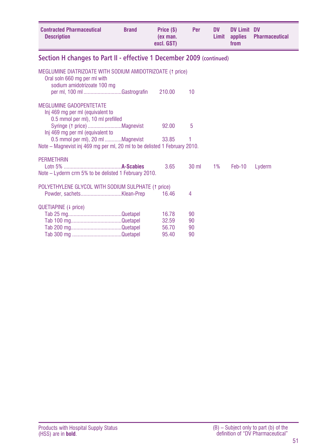| <b>Contracted Pharmaceutical</b><br><b>Description</b>                                                                                                  | <b>Brand</b> | Price (\$)<br>(ex man.<br>excl. GST) | Per                  | <b>DV</b><br>Limit | <b>DV Limit DV</b><br>applies<br>from | Pharmaceutical |
|---------------------------------------------------------------------------------------------------------------------------------------------------------|--------------|--------------------------------------|----------------------|--------------------|---------------------------------------|----------------|
| Section H changes to Part II - effective 1 December 2009 (continued)                                                                                    |              |                                      |                      |                    |                                       |                |
| MEGLUMINE DIATRIZOATE WITH SODIUM AMIDOTRIZOATE (1 price)<br>Oral soln 660 mg per ml with<br>sodium amidotrizoate 100 mg<br>per ml, 100 ml Gastrografin |              | 210.00                               | 10                   |                    |                                       |                |
| <b>MEGI UMINE GADOPENTETATE</b><br>Inj 469 mg per ml (equivalent to<br>0.5 mmol per ml), 10 ml prefilled<br>Inj 469 mg per ml (equivalent to            |              | 92.00                                | 5                    |                    |                                       |                |
| 0.5 mmol per ml), 20 ml Magnevist<br>Note – Magnevist inj 469 mg per ml, 20 ml to be delisted 1 February 2010.                                          |              | 33.85                                | 1                    |                    |                                       |                |
| <b>PERMETHRIN</b>                                                                                                                                       |              |                                      |                      |                    |                                       |                |
| Note – Lyderm crm 5% to be delisted 1 February 2010.                                                                                                    |              | 3.65                                 | $30 \text{ ml}$      | $1\%$              | Feb-10                                | Lyderm         |
| POLYETHYLENE GLYCOL WITH SODIUM SULPHATE (1 price)                                                                                                      |              | 16.46                                | 4                    |                    |                                       |                |
| QUETIAPINE (+ price)                                                                                                                                    |              | 16.78<br>32.59<br>56.70<br>95.40     | 90<br>90<br>90<br>90 |                    |                                       |                |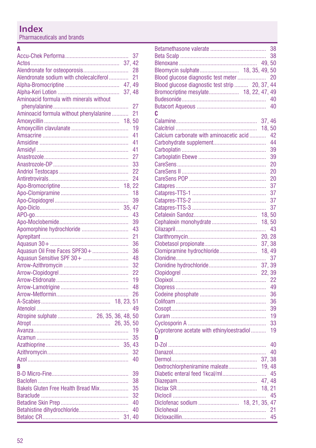Pharmaceuticals and brands

#### $\overline{A}$

|                                         |       | 37              |
|-----------------------------------------|-------|-----------------|
|                                         |       |                 |
|                                         |       | 28              |
| Alendronate sodium with cholecalciferol |       | 21              |
|                                         |       |                 |
|                                         | 37.48 |                 |
| Aminoacid formula with minerals without |       |                 |
|                                         |       | $\overline{27}$ |
| Aminoacid formula without phenylalanine |       | 21              |
|                                         |       |                 |
|                                         |       | 19              |
|                                         |       | 41              |
|                                         |       |                 |
|                                         |       | 41              |
|                                         |       | 41              |
|                                         |       | 27              |
|                                         |       | 33              |
|                                         |       | 22              |
|                                         |       | 24              |
|                                         | 18.22 |                 |
|                                         |       | 18              |
|                                         |       | 39              |
|                                         |       | 47              |
|                                         |       | 43              |
|                                         |       | 39              |
| Apomorphine hydrochloride               |       | 43              |
|                                         |       | 21              |
|                                         |       | 36              |
|                                         |       |                 |
| Aguasun Oil Free Faces SPF30+           |       | 36              |
| Aquasun Sensitive SPF 30+               |       | 48              |
|                                         |       | 32              |
|                                         |       | 22              |
|                                         |       | 19              |
|                                         |       | 48              |
|                                         |       | 26              |
|                                         |       |                 |
|                                         |       | 49              |
|                                         |       |                 |
|                                         |       |                 |
|                                         |       | 19              |
|                                         |       | 35              |
|                                         |       |                 |
|                                         |       | 32              |
|                                         |       | 40              |
| B                                       |       |                 |
|                                         |       |                 |
|                                         |       | 39              |
|                                         |       | 38              |
| Bakels Gluten Free Health Bread Mix     |       | 35              |
|                                         |       | 32              |
|                                         |       | 40              |
|                                         |       | 40              |
|                                         |       |                 |
|                                         |       |                 |

|                                                 |        | 38 |
|-------------------------------------------------|--------|----|
|                                                 |        |    |
| Bleomycin sulphate 18, 35, 49, 50               |        |    |
| Blood glucose diagnostic test meter             |        | 20 |
| Blood glucose diagnostic test strip  20, 37, 44 |        |    |
| Bromocriptine mesylate 18, 22, 47, 49           |        |    |
|                                                 |        |    |
|                                                 |        | 40 |
| c                                               |        |    |
|                                                 |        |    |
|                                                 | 18.50  |    |
| Calcium carbonate with aminoacetic acid         |        | 42 |
|                                                 |        | 44 |
|                                                 |        | 39 |
|                                                 |        | 39 |
|                                                 |        | 20 |
|                                                 |        | 20 |
|                                                 |        | 20 |
|                                                 |        | 37 |
|                                                 |        | 37 |
|                                                 |        | 37 |
|                                                 |        | 37 |
|                                                 | 18.50  |    |
| Cephalexin monohydrate                          | 18, 50 |    |
|                                                 |        |    |
|                                                 |        |    |
|                                                 |        |    |
| Clomipramine hydrochloride 18, 49               |        |    |
|                                                 |        |    |
|                                                 |        |    |
|                                                 |        |    |
|                                                 |        | 22 |
|                                                 |        | 49 |
|                                                 |        | 36 |
|                                                 |        | 36 |
|                                                 |        | 39 |
|                                                 |        | 19 |
|                                                 |        | 33 |
| Cyproterone acetate with ethinyloestradiol      |        | 19 |
| D                                               |        |    |
|                                                 |        | 40 |
|                                                 |        | 40 |
|                                                 |        |    |
| Dextrochlorpheniramine maleate                  | 19, 48 |    |
|                                                 |        |    |
|                                                 |        |    |
|                                                 |        |    |
|                                                 |        |    |
| Diclofenac sodium  18, 21, 35, 47               |        |    |
|                                                 |        |    |
|                                                 |        | 45 |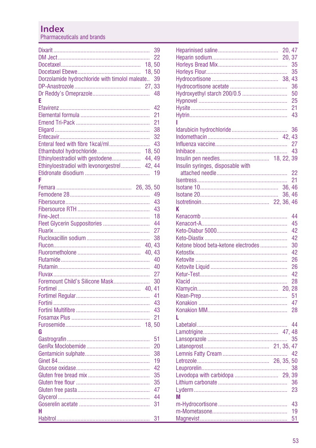Pharmaceuticals and brands

|                                                |       | 39 |
|------------------------------------------------|-------|----|
|                                                |       | 22 |
|                                                | 18.50 |    |
|                                                | 18,50 |    |
| Dorzolamide hydrochloride with timolol maleate |       | 39 |
|                                                |       |    |
|                                                |       | 48 |
| E                                              |       |    |
|                                                |       | 42 |
|                                                |       | 21 |
|                                                |       | 21 |
|                                                |       | 38 |
|                                                |       | 32 |
| Enteral feed with fibre 1kcal/ml               |       | 43 |
| Ethambutol hydrochloride                       | 18.50 |    |
| Ethinyloestradiol with gestodene 44, 49        |       |    |
| Ethinyloestradiol with levonorgestrel 42, 44   |       |    |
|                                                |       | 19 |
| F                                              |       |    |
|                                                |       |    |
|                                                |       | 49 |
|                                                |       | 43 |
|                                                |       | 43 |
|                                                |       | 18 |
| Fleet Glycerin Suppositories                   |       | 44 |
|                                                |       | 27 |
|                                                |       | 38 |
|                                                |       |    |
|                                                |       |    |
|                                                |       | 40 |
|                                                |       | 40 |
|                                                |       | 27 |
| Foremount Child's Silicone Mask                |       | 30 |
|                                                |       |    |
|                                                |       | 41 |
|                                                |       | 43 |
|                                                |       | 43 |
|                                                |       | 21 |
|                                                |       |    |
| G                                              |       |    |
|                                                |       | 51 |
|                                                |       | 20 |
|                                                |       | 38 |
|                                                |       | 19 |
|                                                |       | 42 |
|                                                |       | 35 |
|                                                |       | 35 |
|                                                |       | 47 |
|                                                |       | 44 |
|                                                |       | 31 |
| н                                              |       |    |
|                                                |       | 31 |
|                                                |       |    |

|                                     |       | 35 |
|-------------------------------------|-------|----|
|                                     |       | 35 |
|                                     |       |    |
|                                     |       | 36 |
| Hydroxyethyl starch 200/0.5         |       | 50 |
|                                     |       | 25 |
|                                     |       | 21 |
|                                     |       | 43 |
|                                     |       |    |
|                                     |       | 36 |
|                                     |       |    |
|                                     |       | 27 |
|                                     |       | 43 |
|                                     |       |    |
| Insulin syringes, disposable with   |       |    |
|                                     |       | 22 |
|                                     |       | 21 |
|                                     |       |    |
|                                     |       |    |
|                                     | 36.46 |    |
| K                                   |       |    |
|                                     |       | 44 |
|                                     |       |    |
|                                     |       | 45 |
|                                     |       | 42 |
|                                     |       | 42 |
| Ketone blood beta-ketone electrodes |       | 30 |
|                                     |       | 42 |
|                                     |       | 26 |
|                                     |       | 26 |
|                                     |       | 42 |
|                                     |       | 28 |
|                                     |       |    |
|                                     |       | 51 |
|                                     |       | 47 |
|                                     |       | 28 |
| L                                   |       |    |
|                                     |       | 44 |
|                                     |       |    |
|                                     |       | 35 |
|                                     |       |    |
|                                     |       | 42 |
|                                     |       |    |
|                                     |       | 38 |
|                                     |       |    |
|                                     |       | 36 |
|                                     |       | 23 |
| М                                   |       |    |
|                                     |       | 43 |
|                                     |       | 19 |
|                                     |       | 51 |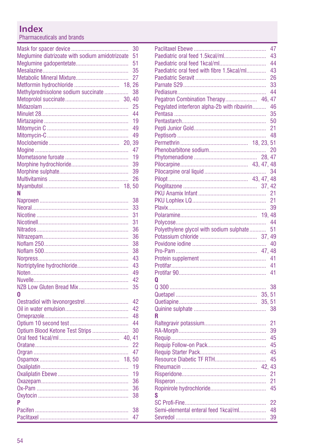Pharmaceuticals and brands

|                                                 | 30 |
|-------------------------------------------------|----|
| Meglumine diatrizoate with sodium amidotrizoate | 51 |
|                                                 | 51 |
|                                                 | 35 |
|                                                 | 27 |
| Metformin hydrochloride<br>18.                  | 26 |
| Methylprednisolone sodium succinate             | 38 |
| 30, 40                                          |    |
|                                                 | 25 |
|                                                 | 44 |
|                                                 | 19 |
|                                                 | 49 |
|                                                 | 49 |
| 20,                                             | 39 |
|                                                 | 47 |
|                                                 | 19 |
|                                                 | 39 |
|                                                 | 39 |
|                                                 | 26 |
|                                                 |    |
| N                                               |    |
|                                                 | 38 |
|                                                 | 33 |
|                                                 | 31 |
|                                                 | 31 |
|                                                 | 36 |
|                                                 | 36 |
|                                                 | 38 |
|                                                 | 38 |
|                                                 | 43 |
|                                                 | 43 |
|                                                 | 49 |
|                                                 | 42 |
|                                                 | 35 |
| n                                               |    |
| Oestradiol with levonorgestrel                  | 42 |
|                                                 | 42 |
|                                                 | 48 |
|                                                 | 44 |
|                                                 | 30 |
| Optium Blood Ketone Test Strips                 | 41 |
|                                                 |    |
|                                                 | 22 |
|                                                 | 47 |
| 18.50                                           |    |
|                                                 | 19 |
|                                                 | 19 |
|                                                 | 36 |
|                                                 | 36 |
|                                                 | 38 |
| P                                               |    |
|                                                 | 38 |
|                                                 | 47 |

|                                              |       | 47 |
|----------------------------------------------|-------|----|
| Paediatric oral feed 1.5kcal/ml              |       | 43 |
|                                              |       | 44 |
| Paediatric oral feed with fibre 1.5kcal/ml   |       | 43 |
|                                              |       |    |
|                                              |       | 26 |
|                                              |       | 33 |
|                                              |       | 44 |
| Pegatron Combination Therapy                 | 46.   | 47 |
| Pegylated interferon alpha-2b with ribavirin |       | 46 |
|                                              |       | 35 |
|                                              |       | 50 |
|                                              |       | 21 |
|                                              |       | 48 |
|                                              |       |    |
|                                              |       | 20 |
|                                              |       |    |
|                                              |       |    |
|                                              |       | 34 |
|                                              |       |    |
|                                              |       |    |
|                                              |       |    |
|                                              |       | 21 |
|                                              |       | 21 |
|                                              |       | 39 |
|                                              |       |    |
|                                              |       | 44 |
| Polyethylene glycol with sodium sulphate     |       | 51 |
|                                              |       |    |
|                                              |       | 40 |
|                                              |       |    |
|                                              |       | 41 |
|                                              |       | 41 |
|                                              |       | 41 |
|                                              |       |    |
| 0                                            |       |    |
|                                              |       | 38 |
|                                              |       |    |
|                                              | 35.51 |    |
|                                              |       | 38 |
| R                                            |       |    |
|                                              |       | 21 |
|                                              |       | 39 |
|                                              |       | 45 |
|                                              |       | 45 |
|                                              |       | 45 |
|                                              |       | 45 |
|                                              |       |    |
|                                              |       |    |
|                                              |       | 21 |
|                                              |       | 21 |
|                                              |       | 45 |
| S                                            |       |    |
|                                              |       | 22 |
| Semi-elemental enteral feed 1kcal/ml         |       | 48 |
|                                              |       | 39 |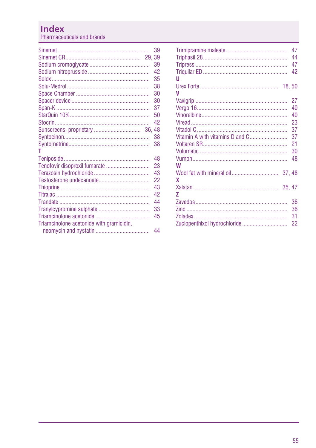Pharmaceuticals and brands

|                                          | 39 |
|------------------------------------------|----|
|                                          | 39 |
|                                          | 39 |
|                                          | 42 |
|                                          | 35 |
|                                          | 38 |
|                                          | 30 |
|                                          | 30 |
|                                          | 37 |
|                                          | 50 |
|                                          | 42 |
|                                          |    |
|                                          | 38 |
|                                          | 38 |
| т                                        |    |
|                                          | 48 |
|                                          | 23 |
|                                          | 43 |
|                                          | 22 |
|                                          | 43 |
|                                          | 42 |
|                                          | 44 |
|                                          | 33 |
|                                          | 45 |
| Triamcinolone acetonide with gramicidin, |    |
|                                          | 44 |
|                                          |    |

|                                 | 47 |
|---------------------------------|----|
|                                 | 44 |
|                                 | 47 |
|                                 | 42 |
| п                               |    |
|                                 |    |
| V                               |    |
|                                 | 27 |
|                                 | 40 |
|                                 | 40 |
|                                 | 23 |
|                                 | 37 |
| Vitamin A with vitamins D and C | 37 |
|                                 | 21 |
|                                 | 30 |
|                                 | 48 |
| W                               |    |
|                                 |    |
| x                               |    |
|                                 |    |
| 7                               |    |
|                                 | 36 |
|                                 | 36 |
|                                 | 31 |
|                                 | 22 |